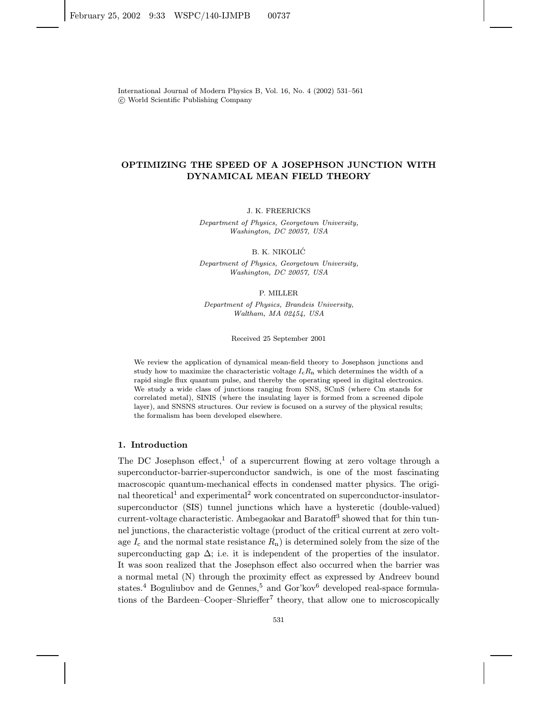International Journal of Modern Physics B, Vol. 16, No. 4 (2002) 531–561 c World Scientific Publishing Company

# OPTIMIZING THE SPEED OF A JOSEPHSON JUNCTION WITH DYNAMICAL MEAN FIELD THEORY

J. K. FREERICKS

Department of Physics, Georgetown University, Washington, DC 20057, USA

B. K. NIKOLIĆ

Department of Physics, Georgetown University, Washington, DC 20057, USA

#### P. MILLER

Department of Physics, Brandeis University, Waltham, MA 02454, USA

Received 25 September 2001

We review the application of dynamical mean-field theory to Josephson junctions and study how to maximize the characteristic voltage  $I_cR_n$  which determines the width of a rapid single flux quantum pulse, and thereby the operating speed in digital electronics. We study a wide class of junctions ranging from SNS, SCmS (where Cm stands for correlated metal), SINIS (where the insulating layer is formed from a screened dipole layer), and SNSNS structures. Our review is focused on a survey of the physical results; the formalism has been developed elsewhere.

### 1. Introduction

The DC Josephson effect,<sup>1</sup> of a supercurrent flowing at zero voltage through a superconductor-barrier-superconductor sandwich, is one of the most fascinating macroscopic quantum-mechanical effects in condensed matter physics. The original theoretical<sup>1</sup> and experimental<sup>2</sup> work concentrated on superconductor-insulatorsuperconductor (SIS) tunnel junctions which have a hysteretic (double-valued) current-voltage characteristic. Ambegaokar and Baratoff<sup>3</sup> showed that for thin tunnel junctions, the characteristic voltage (product of the critical current at zero voltage  $I_c$  and the normal state resistance  $R_n$ ) is determined solely from the size of the superconducting gap  $\Delta$ ; i.e. it is independent of the properties of the insulator. It was soon realized that the Josephson effect also occurred when the barrier was a normal metal (N) through the proximity effect as expressed by Andreev bound states.<sup>4</sup> Boguliubov and de Gennes,<sup>5</sup> and Gor'kov<sup>6</sup> developed real-space formulations of the Bardeen–Cooper–Shrieffer<sup>7</sup> theory, that allow one to microscopically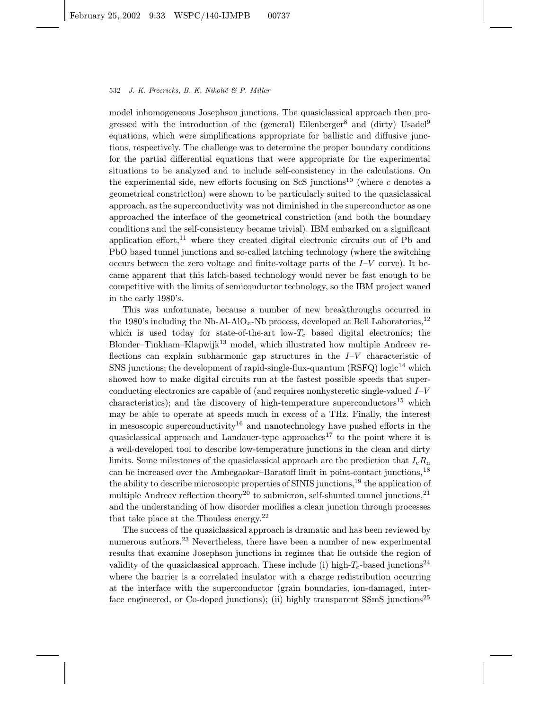model inhomogeneous Josephson junctions. The quasiclassical approach then progressed with the introduction of the (general) Eilenberger<sup>8</sup> and (dirty) Usadel<sup>9</sup> equations, which were simplifications appropriate for ballistic and diffusive junctions, respectively. The challenge was to determine the proper boundary conditions for the partial differential equations that were appropriate for the experimental situations to be analyzed and to include self-consistency in the calculations. On the experimental side, new efforts focusing on ScS junctions<sup>10</sup> (where c denotes a geometrical constriction) were shown to be particularly suited to the quasiclassical approach, as the superconductivity was not diminished in the superconductor as one approached the interface of the geometrical constriction (and both the boundary conditions and the self-consistency became trivial). IBM embarked on a significant application effort, $11$  where they created digital electronic circuits out of Pb and PbO based tunnel junctions and so-called latching technology (where the switching occurs between the zero voltage and finite-voltage parts of the  $I-V$  curve). It became apparent that this latch-based technology would never be fast enough to be competitive with the limits of semiconductor technology, so the IBM project waned in the early 1980's.

This was unfortunate, because a number of new breakthroughs occurred in the 1980's including the Nb-Al-AlO<sub>x</sub>-Nb process, developed at Bell Laboratories,<sup>12</sup> which is used today for state-of-the-art low- $T_c$  based digital electronics; the Blonder–Tinkham–Klapwijk<sup>13</sup> model, which illustrated how multiple Andreev reflections can explain subharmonic gap structures in the  $I-V$  characteristic of SNS junctions; the development of rapid-single-flux-quantum ( $RSFQ$ ) logic<sup>14</sup> which showed how to make digital circuits run at the fastest possible speeds that superconducting electronics are capable of (and requires nonhysteretic single-valued  $I-V$ characteristics); and the discovery of high-temperature superconductors<sup>15</sup> which may be able to operate at speeds much in excess of a THz. Finally, the interest in mesoscopic superconductivity<sup>16</sup> and nanotechnology have pushed efforts in the quasiclassical approach and Landauer-type approaches<sup>17</sup> to the point where it is a well-developed tool to describe low-temperature junctions in the clean and dirty limits. Some milestones of the quasiclassical approach are the prediction that  $I_c R_n$ can be increased over the Ambegaokar–Baratoff limit in point-contact junctions,<sup>18</sup> the ability to describe microscopic properties of SINIS junctions,<sup>19</sup> the application of multiple Andreev reflection theory<sup>20</sup> to submicron, self-shunted tunnel junctions,<sup>21</sup> and the understanding of how disorder modifies a clean junction through processes that take place at the Thouless energy.<sup>22</sup>

The success of the quasiclassical approach is dramatic and has been reviewed by numerous authors.<sup>23</sup> Nevertheless, there have been a number of new experimental results that examine Josephson junctions in regimes that lie outside the region of validity of the quasiclassical approach. These include (i) high- $T_c$ -based junctions<sup>24</sup> where the barrier is a correlated insulator with a charge redistribution occurring at the interface with the superconductor (grain boundaries, ion-damaged, interface engineered, or Co-doped junctions); (ii) highly transparent  $SSmS$  junctions<sup>25</sup>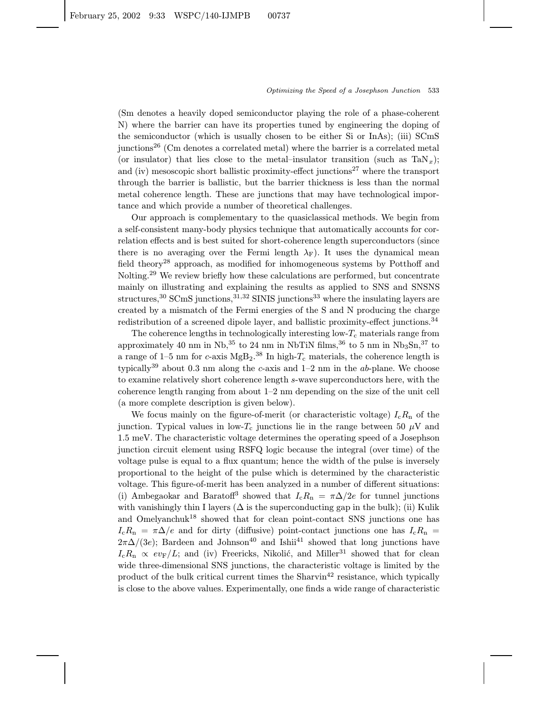(Sm denotes a heavily doped semiconductor playing the role of a phase-coherent N) where the barrier can have its properties tuned by engineering the doping of the semiconductor (which is usually chosen to be either Si or InAs); (iii) SCmS junctions<sup>26</sup> (Cm denotes a correlated metal) where the barrier is a correlated metal (or insulator) that lies close to the metal–insulator transition (such as  $\text{TaN}_x$ ); and (iv) mesoscopic short ballistic proximity-effect junctions<sup>27</sup> where the transport through the barrier is ballistic, but the barrier thickness is less than the normal metal coherence length. These are junctions that may have technological importance and which provide a number of theoretical challenges.

Our approach is complementary to the quasiclassical methods. We begin from a self-consistent many-body physics technique that automatically accounts for correlation effects and is best suited for short-coherence length superconductors (since there is no averaging over the Fermi length  $\lambda_F$ ). It uses the dynamical mean field theory<sup>28</sup> approach, as modified for inhomogeneous systems by Potthoff and Nolting.<sup>29</sup> We review briefly how these calculations are performed, but concentrate mainly on illustrating and explaining the results as applied to SNS and SNSNS structures,<sup>30</sup> SCmS junctions,<sup>31,32</sup> SINIS junctions<sup>33</sup> where the insulating layers are created by a mismatch of the Fermi energies of the S and N producing the charge redistribution of a screened dipole layer, and ballistic proximity-effect junctions.<sup>34</sup>

The coherence lengths in technologically interesting low- $T_c$  materials range from approximately 40 nm in Nb,<sup>35</sup> to 24 nm in NbTiN films,<sup>36</sup> to 5 nm in  $Nb<sub>3</sub>Sn$ ,<sup>37</sup> to a range of  $1-5$  nm for c-axis  $MgB_2$ .<sup>38</sup> In high- $T_c$  materials, the coherence length is typically<sup>39</sup> about 0.3 nm along the c-axis and  $1-2$  nm in the ab-plane. We choose to examine relatively short coherence length s-wave superconductors here, with the coherence length ranging from about  $1-2$  nm depending on the size of the unit cell (a more complete description is given below).

We focus mainly on the figure-of-merit (or characteristic voltage)  $I_c R_n$  of the junction. Typical values in low- $T_c$  junctions lie in the range between 50  $\mu$ V and 1.5 meV. The characteristic voltage determines the operating speed of a Josephson junction circuit element using RSFQ logic because the integral (over time) of the voltage pulse is equal to a flux quantum; hence the width of the pulse is inversely proportional to the height of the pulse which is determined by the characteristic voltage. This figure-of-merit has been analyzed in a number of different situations: (i) Ambegaokar and Baratoff<sup>3</sup> showed that  $I_cR_n = \pi\Delta/2e$  for tunnel junctions with vanishingly thin I layers ( $\Delta$  is the superconducting gap in the bulk); (ii) Kulik and Omelyanchuk<sup>18</sup> showed that for clean point-contact SNS junctions one has  $I_cR_n = \pi\Delta/e$  and for dirty (diffusive) point-contact junctions one has  $I_cR_n =$  $2\pi\Delta/(3e)$ ; Bardeen and Johnson<sup>40</sup> and Ishii<sup>41</sup> showed that long junctions have  $I_cR_n \propto ev_{\rm F}/L$ ; and (iv) Freericks, Nikolić, and Miller<sup>31</sup> showed that for clean wide three-dimensional SNS junctions, the characteristic voltage is limited by the product of the bulk critical current times the  $Sharvin<sup>42</sup>$  resistance, which typically is close to the above values. Experimentally, one finds a wide range of characteristic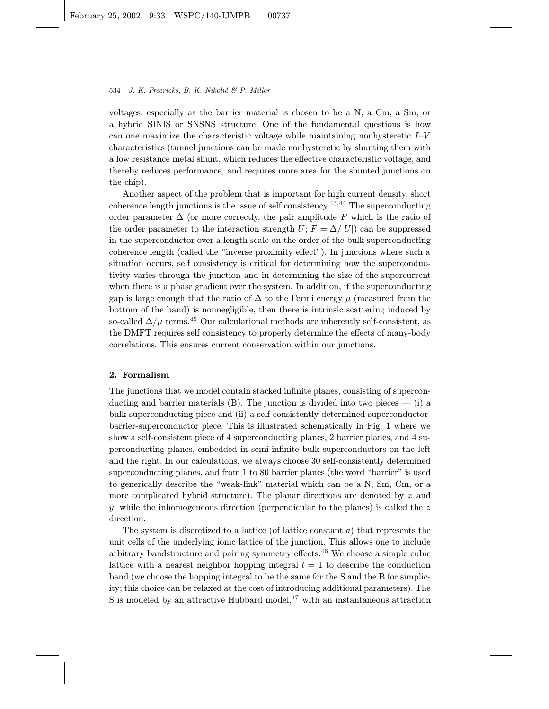voltages, especially as the barrier material is chosen to be a N, a Cm, a Sm, or a hybrid SINIS or SNSNS structure. One of the fundamental questions is how can one maximize the characteristic voltage while maintaining nonhysteretic  $I-V$ characteristics (tunnel junctions can be made nonhysteretic by shunting them with a low resistance metal shunt, which reduces the effective characteristic voltage, and thereby reduces performance, and requires more area for the shunted junctions on the chip).

Another aspect of the problem that is important for high current density, short coherence length junctions is the issue of self consistency.<sup>43,44</sup> The superconducting order parameter  $\Delta$  (or more correctly, the pair amplitude F which is the ratio of the order parameter to the interaction strength  $U; F = \Delta / |U|$  can be suppressed in the superconductor over a length scale on the order of the bulk superconducting coherence length (called the "inverse proximity effect"). In junctions where such a situation occurs, self consistency is critical for determining how the superconductivity varies through the junction and in determining the size of the supercurrent when there is a phase gradient over the system. In addition, if the superconducting gap is large enough that the ratio of  $\Delta$  to the Fermi energy  $\mu$  (measured from the bottom of the band) is nonnegligible, then there is intrinsic scattering induced by so-called  $\Delta/\mu$  terms.<sup>45</sup> Our calculational methods are inherently self-consistent, as the DMFT requires self consistency to properly determine the effects of many-body correlations. This ensures current conservation within our junctions.

### 2. Formalism

The junctions that we model contain stacked infinite planes, consisting of superconducting and barrier materials  $(B)$ . The junction is divided into two pieces  $-$  (i) a bulk superconducting piece and (ii) a self-consistently determined superconductorbarrier-superconductor piece. This is illustrated schematically in Fig. 1 where we show a self-consistent piece of 4 superconducting planes, 2 barrier planes, and 4 superconducting planes, embedded in semi-infinite bulk superconductors on the left and the right. In our calculations, we always choose 30 self-consistently determined superconducting planes, and from 1 to 80 barrier planes (the word "barrier" is used to generically describe the "weak-link" material which can be a N, Sm, Cm, or a more complicated hybrid structure). The planar directions are denoted by  $x$  and y, while the inhomogeneous direction (perpendicular to the planes) is called the  $z$ direction.

The system is discretized to a lattice (of lattice constant  $a$ ) that represents the unit cells of the underlying ionic lattice of the junction. This allows one to include arbitrary bandstructure and pairing symmetry effects.<sup>46</sup> We choose a simple cubic lattice with a nearest neighbor hopping integral  $t = 1$  to describe the conduction band (we choose the hopping integral to be the same for the S and the B for simplicity; this choice can be relaxed at the cost of introducing additional parameters). The S is modeled by an attractive Hubbard model, $47$  with an instantaneous attraction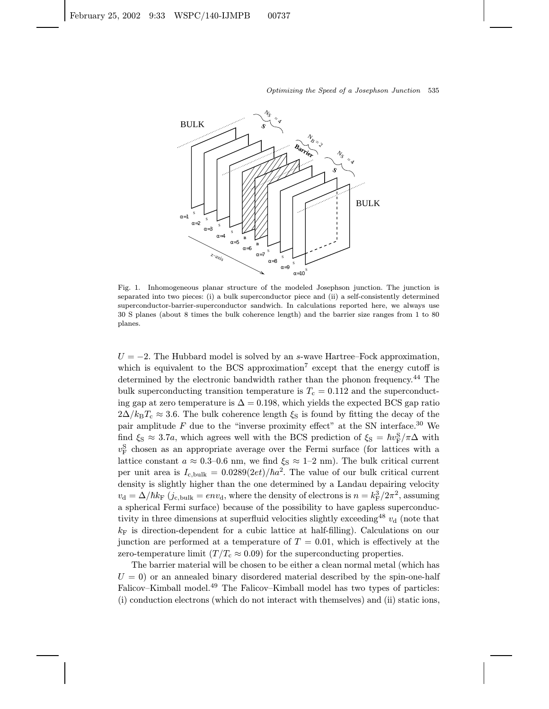

Fig. 1. Inhomogeneous planar structure of the modeled Josephson junction. The junction is separated into two pieces: (i) a bulk superconductor piece and (ii) a self-consistently determined superconductor-barrier-superconductor sandwich. In calculations reported here, we always use 30 S planes (about 8 times the bulk coherence length) and the barrier size ranges from 1 to 80 planes.

 $U = -2$ . The Hubbard model is solved by an s-wave Hartree–Fock approximation, which is equivalent to the BCS approximation<sup>7</sup> except that the energy cutoff is determined by the electronic bandwidth rather than the phonon frequency.<sup>44</sup> The bulk superconducting transition temperature is  $T_c = 0.112$  and the superconducting gap at zero temperature is  $\Delta = 0.198$ , which yields the expected BCS gap ratio  $2\Delta/k_BT_c \approx 3.6$ . The bulk coherence length  $\xi_s$  is found by fitting the decay of the pair amplitude  $F$  due to the "inverse proximity effect" at the SN interface.<sup>30</sup> We find  $\xi_{\rm S} \approx 3.7a$ , which agrees well with the BCS prediction of  $\xi_{\rm S} = \hbar v_{\rm F}^{\rm S}/\pi\Delta$  with  $v_{\rm F}^{\rm S}$  chosen as an appropriate average over the Fermi surface (for lattices with a lattice constant  $a \approx 0.3{\text -}0.6$  nm, we find  $\xi_s \approx 1{\text -}2$  nm). The bulk critical current per unit area is  $I_{\text{c,bulk}} = 0.0289(2et)/\hbar a^2$ . The value of our bulk critical current density is slightly higher than the one determined by a Landau depairing velocity  $v_{\rm d} = \Delta/\hbar k_{\rm F}$  ( $j_{\rm c, bulk} = env_{\rm d}$ , where the density of electrons is  $n = k_{\rm F}^3/2\pi^2$ , assuming a spherical Fermi surface) because of the possibility to have gapless superconductivity in three dimensions at superfluid velocities slightly exceeding<sup>48</sup>  $v<sub>d</sub>$  (note that  $k_F$  is direction-dependent for a cubic lattice at half-filling). Calculations on our junction are performed at a temperature of  $T = 0.01$ , which is effectively at the zero-temperature limit  $(T/T_c \approx 0.09)$  for the superconducting properties.

The barrier material will be chosen to be either a clean normal metal (which has  $U = 0$ ) or an annealed binary disordered material described by the spin-one-half Falicov–Kimball model.<sup>49</sup> The Falicov–Kimball model has two types of particles: (i) conduction electrons (which do not interact with themselves) and (ii) static ions,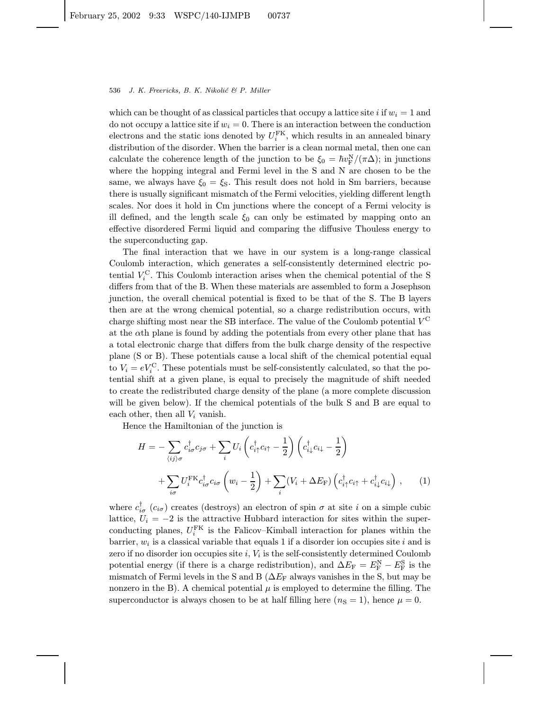which can be thought of as classical particles that occupy a lattice site i if  $w_i = 1$  and do not occupy a lattice site if  $w_i = 0$ . There is an interaction between the conduction electrons and the static ions denoted by  $U_i^{\text{FK}}$ , which results in an annealed binary distribution of the disorder. When the barrier is a clean normal metal, then one can calculate the coherence length of the junction to be  $\xi_0 = \hbar v_{\rm F}^{\rm N} / (\pi \Delta)$ ; in junctions where the hopping integral and Fermi level in the S and N are chosen to be the same, we always have  $\xi_0 = \xi_{\rm S}$ . This result does not hold in Sm barriers, because there is usually significant mismatch of the Fermi velocities, yielding different length scales. Nor does it hold in Cm junctions where the concept of a Fermi velocity is ill defined, and the length scale  $\xi_0$  can only be estimated by mapping onto an effective disordered Fermi liquid and comparing the diffusive Thouless energy to the superconducting gap.

The final interaction that we have in our system is a long-range classical Coulomb interaction, which generates a self-consistently determined electric potential  $V_i^{\text{C}}$ . This Coulomb interaction arises when the chemical potential of the S differs from that of the B. When these materials are assembled to form a Josephson junction, the overall chemical potential is fixed to be that of the S. The B layers then are at the wrong chemical potential, so a charge redistribution occurs, with charge shifting most near the SB interface. The value of the Coulomb potential  $V^C$ at the αth plane is found by adding the potentials from every other plane that has a total electronic charge that differs from the bulk charge density of the respective plane (S or B). These potentials cause a local shift of the chemical potential equal to  $V_i = eV_i^C$ . These potentials must be self-consistently calculated, so that the potential shift at a given plane, is equal to precisely the magnitude of shift needed to create the redistributed charge density of the plane (a more complete discussion will be given below). If the chemical potentials of the bulk S and B are equal to each other, then all  $V_i$  vanish.

Hence the Hamiltonian of the junction is

$$
H = -\sum_{\langle ij\rangle\sigma} c_{i\sigma}^{\dagger} c_{j\sigma} + \sum_{i} U_{i} \left( c_{i\uparrow}^{\dagger} c_{i\uparrow} - \frac{1}{2} \right) \left( c_{i\downarrow}^{\dagger} c_{i\downarrow} - \frac{1}{2} \right)
$$
  
+ 
$$
\sum_{i\sigma} U_{i}^{\text{FK}} c_{i\sigma}^{\dagger} c_{i\sigma} \left( w_{i} - \frac{1}{2} \right) + \sum_{i} (V_{i} + \Delta E_{\text{F}}) \left( c_{i\uparrow}^{\dagger} c_{i\uparrow} + c_{i\downarrow}^{\dagger} c_{i\downarrow} \right), \qquad (1)
$$

where  $c_{i\sigma}^{\dagger}$  ( $c_{i\sigma}$ ) creates (destroys) an electron of spin  $\sigma$  at site i on a simple cubic lattice,  $U_i = -2$  is the attractive Hubbard interaction for sites within the superconducting planes,  $U_i^{\text{FK}}$  is the Falicov–Kimball interaction for planes within the barrier,  $w_i$  is a classical variable that equals 1 if a disorder ion occupies site i and is zero if no disorder ion occupies site i,  $V_i$  is the self-consistently determined Coulomb potential energy (if there is a charge redistribution), and  $\Delta E_{\rm F} = E_{\rm F}^{\rm N} - E_{\rm F}^{\rm S}$  is the mismatch of Fermi levels in the S and B ( $\Delta E_{\rm F}$  always vanishes in the S, but may be nonzero in the B). A chemical potential  $\mu$  is employed to determine the filling. The superconductor is always chosen to be at half filling here  $(n<sub>S</sub> = 1)$ , hence  $\mu = 0$ .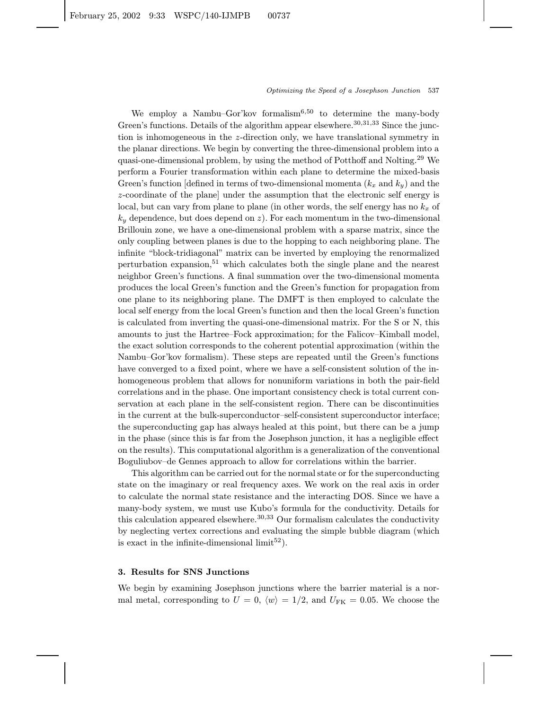We employ a Nambu–Gor'kov formalism<sup>6,50</sup> to determine the many-body Green's functions. Details of the algorithm appear elsewhere.<sup>30,31,33</sup> Since the junction is inhomogeneous in the z-direction only, we have translational symmetry in the planar directions. We begin by converting the three-dimensional problem into a quasi-one-dimensional problem, by using the method of Potthoff and Nolting.<sup>29</sup> We perform a Fourier transformation within each plane to determine the mixed-basis Green's function [defined in terms of two-dimensional momenta  $(k_x \text{ and } k_y)$  and the z-coordinate of the plane] under the assumption that the electronic self energy is local, but can vary from plane to plane (in other words, the self energy has no  $k_x$  of  $k_y$  dependence, but does depend on z). For each momentum in the two-dimensional Brillouin zone, we have a one-dimensional problem with a sparse matrix, since the only coupling between planes is due to the hopping to each neighboring plane. The infinite "block-tridiagonal" matrix can be inverted by employing the renormalized perturbation expansion,<sup>51</sup> which calculates both the single plane and the nearest neighbor Green's functions. A final summation over the two-dimensional momenta produces the local Green's function and the Green's function for propagation from one plane to its neighboring plane. The DMFT is then employed to calculate the local self energy from the local Green's function and then the local Green's function is calculated from inverting the quasi-one-dimensional matrix. For the S or N, this amounts to just the Hartree–Fock approximation; for the Falicov–Kimball model, the exact solution corresponds to the coherent potential approximation (within the Nambu–Gor'kov formalism). These steps are repeated until the Green's functions have converged to a fixed point, where we have a self-consistent solution of the inhomogeneous problem that allows for nonuniform variations in both the pair-field correlations and in the phase. One important consistency check is total current conservation at each plane in the self-consistent region. There can be discontinuities in the current at the bulk-superconductor–self-consistent superconductor interface; the superconducting gap has always healed at this point, but there can be a jump in the phase (since this is far from the Josephson junction, it has a negligible effect on the results). This computational algorithm is a generalization of the conventional Boguliubov–de Gennes approach to allow for correlations within the barrier.

This algorithm can be carried out for the normal state or for the superconducting state on the imaginary or real frequency axes. We work on the real axis in order to calculate the normal state resistance and the interacting DOS. Since we have a many-body system, we must use Kubo's formula for the conductivity. Details for this calculation appeared elsewhere. $30,33$  Our formalism calculates the conductivity by neglecting vertex corrections and evaluating the simple bubble diagram (which is exact in the infinite-dimensional limit<sup>52</sup>).

### 3. Results for SNS Junctions

We begin by examining Josephson junctions where the barrier material is a normal metal, corresponding to  $U = 0$ ,  $\langle w \rangle = 1/2$ , and  $U_{FK} = 0.05$ . We choose the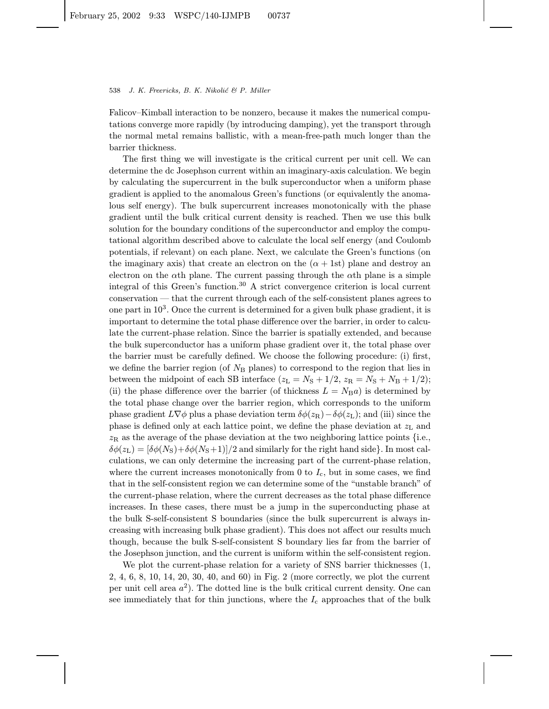Falicov–Kimball interaction to be nonzero, because it makes the numerical computations converge more rapidly (by introducing damping), yet the transport through the normal metal remains ballistic, with a mean-free-path much longer than the barrier thickness.

The first thing we will investigate is the critical current per unit cell. We can determine the dc Josephson current within an imaginary-axis calculation. We begin by calculating the supercurrent in the bulk superconductor when a uniform phase gradient is applied to the anomalous Green's functions (or equivalently the anomalous self energy). The bulk supercurrent increases monotonically with the phase gradient until the bulk critical current density is reached. Then we use this bulk solution for the boundary conditions of the superconductor and employ the computational algorithm described above to calculate the local self energy (and Coulomb potentials, if relevant) on each plane. Next, we calculate the Green's functions (on the imaginary axis) that create an electron on the  $(\alpha + 1st)$  plane and destroy an electron on the  $\alpha$ th plane. The current passing through the  $\alpha$ th plane is a simple integral of this Green's function.<sup>30</sup> A strict convergence criterion is local current conservation — that the current through each of the self-consistent planes agrees to one part in  $10<sup>3</sup>$ . Once the current is determined for a given bulk phase gradient, it is important to determine the total phase difference over the barrier, in order to calculate the current-phase relation. Since the barrier is spatially extended, and because the bulk superconductor has a uniform phase gradient over it, the total phase over the barrier must be carefully defined. We choose the following procedure: (i) first, we define the barrier region (of  $N_B$  planes) to correspond to the region that lies in between the midpoint of each SB interface  $(z_L = N_S + 1/2, z_R = N_S + N_B + 1/2);$ (ii) the phase difference over the barrier (of thickness  $L = N_B a$ ) is determined by the total phase change over the barrier region, which corresponds to the uniform phase gradient  $L\nabla\phi$  plus a phase deviation term  $\delta\phi(z_R)-\delta\phi(z_L)$ ; and (iii) since the phase is defined only at each lattice point, we define the phase deviation at  $z<sub>L</sub>$  and  $z_R$  as the average of the phase deviation at the two neighboring lattice points {i.e.,  $\delta\phi(z_L)=[\delta\phi(N_S)+\delta\phi(N_S+1)]/2$  and similarly for the right hand side}. In most calculations, we can only determine the increasing part of the current-phase relation, where the current increases monotonically from 0 to  $I_c$ , but in some cases, we find that in the self-consistent region we can determine some of the "unstable branch" of the current-phase relation, where the current decreases as the total phase difference increases. In these cases, there must be a jump in the superconducting phase at the bulk S-self-consistent S boundaries (since the bulk supercurrent is always increasing with increasing bulk phase gradient). This does not affect our results much though, because the bulk S-self-consistent S boundary lies far from the barrier of the Josephson junction, and the current is uniform within the self-consistent region.

We plot the current-phase relation for a variety of SNS barrier thicknesses (1, 2, 4, 6, 8, 10, 14, 20, 30, 40, and 60) in Fig. 2 (more correctly, we plot the current per unit cell area  $a^2$ ). The dotted line is the bulk critical current density. One can see immediately that for thin junctions, where the  $I_c$  approaches that of the bulk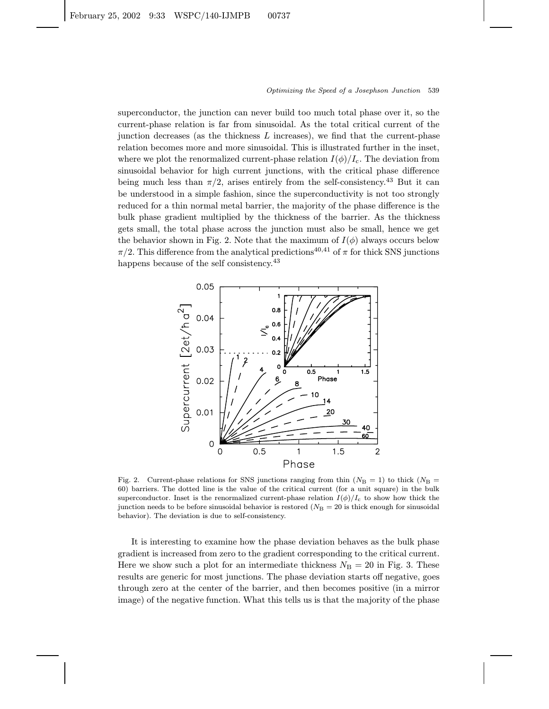superconductor, the junction can never build too much total phase over it, so the current-phase relation is far from sinusoidal. As the total critical current of the junction decreases (as the thickness  $L$  increases), we find that the current-phase relation becomes more and more sinusoidal. This is illustrated further in the inset, where we plot the renormalized current-phase relation  $I(\phi)/I_c$ . The deviation from sinusoidal behavior for high current junctions, with the critical phase difference being much less than  $\pi/2$ , arises entirely from the self-consistency.<sup>43</sup> But it can be understood in a simple fashion, since the superconductivity is not too strongly reduced for a thin normal metal barrier, the majority of the phase difference is the bulk phase gradient multiplied by the thickness of the barrier. As the thickness gets small, the total phase across the junction must also be small, hence we get the behavior shown in Fig. 2. Note that the maximum of  $I(\phi)$  always occurs below  $\pi/2$ . This difference from the analytical predictions<sup>40,41</sup> of  $\pi$  for thick SNS junctions happens because of the self consistency.<sup>43</sup>



Fig. 2. Current-phase relations for SNS junctions ranging from thin ( $N_B = 1$ ) to thick ( $N_B = 1$ ) 60) barriers. The dotted line is the value of the critical current (for a unit square) in the bulk superconductor. Inset is the renormalized current-phase relation  $I(\phi)/I_c$  to show how thick the junction needs to be before sinusoidal behavior is restored ( $N<sub>B</sub> = 20$  is thick enough for sinusoidal behavior). The deviation is due to self-consistency.

It is interesting to examine how the phase deviation behaves as the bulk phase gradient is increased from zero to the gradient corresponding to the critical current. Here we show such a plot for an intermediate thickness  $N_B = 20$  in Fig. 3. These results are generic for most junctions. The phase deviation starts off negative, goes through zero at the center of the barrier, and then becomes positive (in a mirror image) of the negative function. What this tells us is that the majority of the phase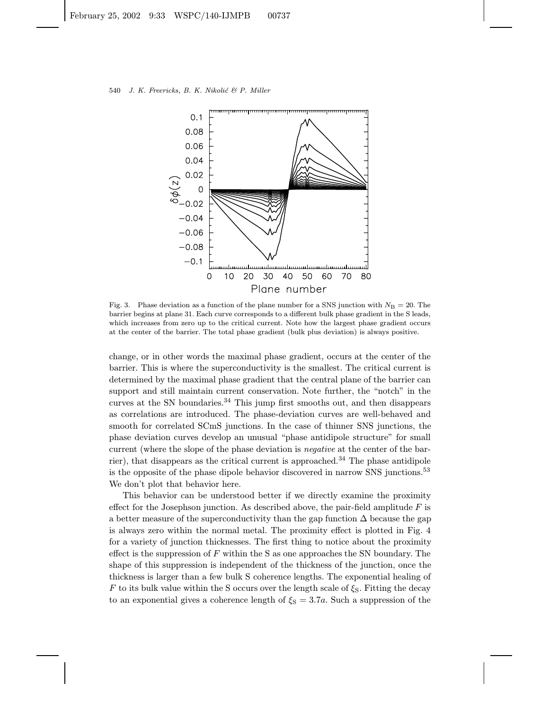

Fig. 3. Phase deviation as a function of the plane number for a SNS junction with  $N_B = 20$ . The barrier begins at plane 31. Each curve corresponds to a different bulk phase gradient in the S leads, which increases from zero up to the critical current. Note how the largest phase gradient occurs at the center of the barrier. The total phase gradient (bulk plus deviation) is always positive.

change, or in other words the maximal phase gradient, occurs at the center of the barrier. This is where the superconductivity is the smallest. The critical current is determined by the maximal phase gradient that the central plane of the barrier can support and still maintain current conservation. Note further, the "notch" in the curves at the SN boundaries. $34$  This jump first smooths out, and then disappears as correlations are introduced. The phase-deviation curves are well-behaved and smooth for correlated SCmS junctions. In the case of thinner SNS junctions, the phase deviation curves develop an unusual "phase antidipole structure" for small current (where the slope of the phase deviation is negative at the center of the barrier), that disappears as the critical current is approached.<sup>34</sup> The phase antidipole is the opposite of the phase dipole behavior discovered in narrow SNS junctions.<sup>53</sup> We don't plot that behavior here.

This behavior can be understood better if we directly examine the proximity effect for the Josephson junction. As described above, the pair-field amplitude  $F$  is a better measure of the superconductivity than the gap function  $\Delta$  because the gap is always zero within the normal metal. The proximity effect is plotted in Fig. 4 for a variety of junction thicknesses. The first thing to notice about the proximity effect is the suppression of  $F$  within the S as one approaches the SN boundary. The shape of this suppression is independent of the thickness of the junction, once the thickness is larger than a few bulk S coherence lengths. The exponential healing of F to its bulk value within the S occurs over the length scale of  $\xi_{\rm S}$ . Fitting the decay to an exponential gives a coherence length of  $\xi_s = 3.7a$ . Such a suppression of the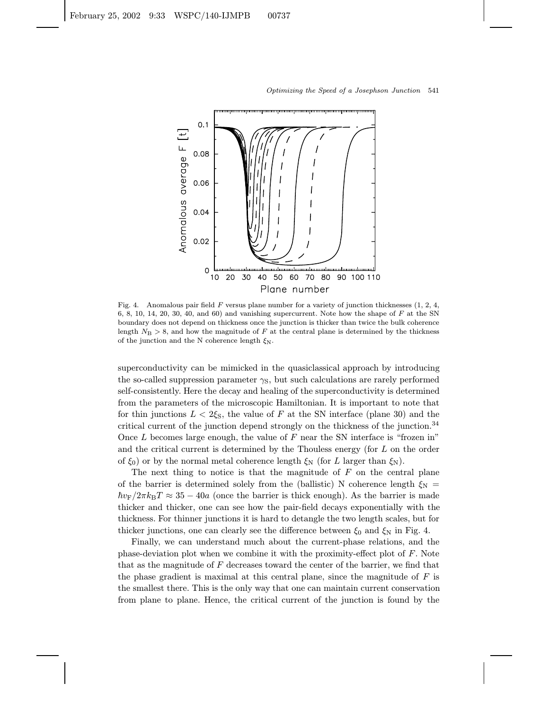

Fig. 4. Anomalous pair field F versus plane number for a variety of junction thicknesses (1, 2, 4, 6, 8, 10, 14, 20, 30, 40, and 60) and vanishing supercurrent. Note how the shape of  $F$  at the SN boundary does not depend on thickness once the junction is thicker than twice the bulk coherence length  $N_B > 8$ , and how the magnitude of F at the central plane is determined by the thickness of the junction and the N coherence length  $\xi_N$ .

superconductivity can be mimicked in the quasiclassical approach by introducing the so-called suppression parameter  $\gamma$ s, but such calculations are rarely performed self-consistently. Here the decay and healing of the superconductivity is determined from the parameters of the microscopic Hamiltonian. It is important to note that for thin junctions  $L < 2\xi_{\rm S}$ , the value of F at the SN interface (plane 30) and the critical current of the junction depend strongly on the thickness of the junction.<sup>34</sup> Once  $L$  becomes large enough, the value of  $F$  near the SN interface is "frozen in" and the critical current is determined by the Thouless energy (for  $L$  on the order of  $\xi_0$ ) or by the normal metal coherence length  $\xi_N$  (for L larger than  $\xi_N$ ).

The next thing to notice is that the magnitude of  $F$  on the central plane of the barrier is determined solely from the (ballistic) N coherence length  $\xi_N =$  $\hbar v_F/2\pi k_BT \approx 35 - 40a$  (once the barrier is thick enough). As the barrier is made thicker and thicker, one can see how the pair-field decays exponentially with the thickness. For thinner junctions it is hard to detangle the two length scales, but for thicker junctions, one can clearly see the difference between  $\xi_0$  and  $\xi_N$  in Fig. 4.

Finally, we can understand much about the current-phase relations, and the phase-deviation plot when we combine it with the proximity-effect plot of F. Note that as the magnitude of  $F$  decreases toward the center of the barrier, we find that the phase gradient is maximal at this central plane, since the magnitude of  $F$  is the smallest there. This is the only way that one can maintain current conservation from plane to plane. Hence, the critical current of the junction is found by the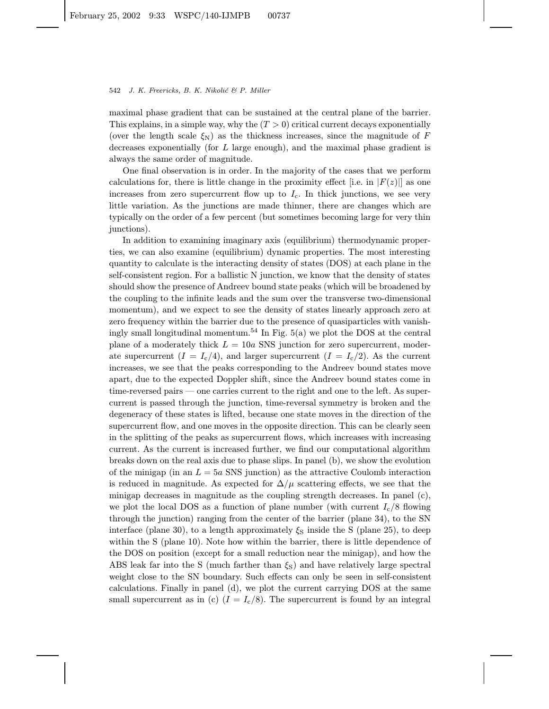#### 542 J. K. Freericks, B. K. Nikolić & P. Miller

maximal phase gradient that can be sustained at the central plane of the barrier. This explains, in a simple way, why the  $(T > 0)$  critical current decays exponentially (over the length scale  $\xi_N$ ) as the thickness increases, since the magnitude of F decreases exponentially (for L large enough), and the maximal phase gradient is always the same order of magnitude.

One final observation is in order. In the majority of the cases that we perform calculations for, there is little change in the proximity effect [i.e. in  $|F(z)|$ ] as one increases from zero supercurrent flow up to  $I_c$ . In thick junctions, we see very little variation. As the junctions are made thinner, there are changes which are typically on the order of a few percent (but sometimes becoming large for very thin junctions).

In addition to examining imaginary axis (equilibrium) thermodynamic properties, we can also examine (equilibrium) dynamic properties. The most interesting quantity to calculate is the interacting density of states (DOS) at each plane in the self-consistent region. For a ballistic N junction, we know that the density of states should show the presence of Andreev bound state peaks (which will be broadened by the coupling to the infinite leads and the sum over the transverse two-dimensional momentum), and we expect to see the density of states linearly approach zero at zero frequency within the barrier due to the presence of quasiparticles with vanishingly small longitudinal momentum.<sup>54</sup> In Fig. 5(a) we plot the DOS at the central plane of a moderately thick  $L = 10a$  SNS junction for zero supercurrent, moderate supercurrent  $(I = I_c/4)$ , and larger supercurrent  $(I = I_c/2)$ . As the current increases, we see that the peaks corresponding to the Andreev bound states move apart, due to the expected Doppler shift, since the Andreev bound states come in time-reversed pairs — one carries current to the right and one to the left. As supercurrent is passed through the junction, time-reversal symmetry is broken and the degeneracy of these states is lifted, because one state moves in the direction of the supercurrent flow, and one moves in the opposite direction. This can be clearly seen in the splitting of the peaks as supercurrent flows, which increases with increasing current. As the current is increased further, we find our computational algorithm breaks down on the real axis due to phase slips. In panel (b), we show the evolution of the minigap (in an  $L = 5a$  SNS junction) as the attractive Coulomb interaction is reduced in magnitude. As expected for  $\Delta/\mu$  scattering effects, we see that the minigap decreases in magnitude as the coupling strength decreases. In panel (c), we plot the local DOS as a function of plane number (with current  $I_c/8$  flowing through the junction) ranging from the center of the barrier (plane 34), to the SN interface (plane 30), to a length approximately  $\xi_S$  inside the S (plane 25), to deep within the S (plane 10). Note how within the barrier, there is little dependence of the DOS on position (except for a small reduction near the minigap), and how the ABS leak far into the S (much farther than  $\xi_S$ ) and have relatively large spectral weight close to the SN boundary. Such effects can only be seen in self-consistent calculations. Finally in panel (d), we plot the current carrying DOS at the same small supercurrent as in (c)  $(I = I_c/8)$ . The supercurrent is found by an integral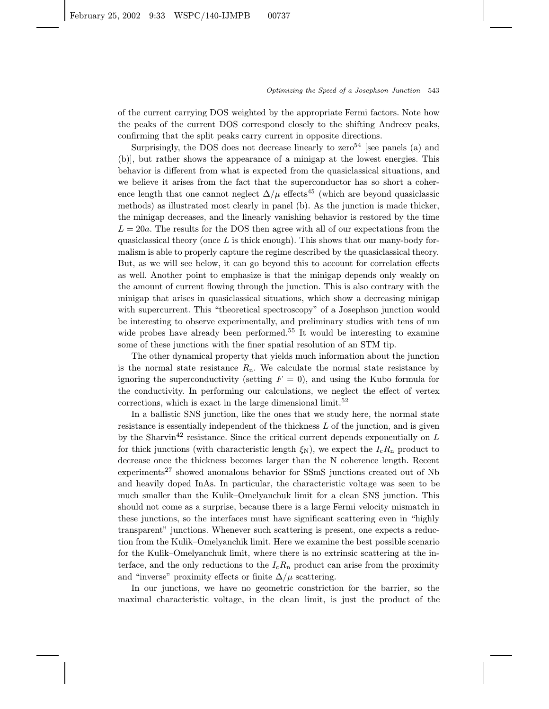of the current carrying DOS weighted by the appropriate Fermi factors. Note how the peaks of the current DOS correspond closely to the shifting Andreev peaks, confirming that the split peaks carry current in opposite directions.

Surprisingly, the DOS does not decrease linearly to  $zero^{54}$  [see panels (a) and (b)], but rather shows the appearance of a minigap at the lowest energies. This behavior is different from what is expected from the quasiclassical situations, and we believe it arises from the fact that the superconductor has so short a coherence length that one cannot neglect  $\Delta/\mu$  effects<sup>45</sup> (which are beyond quasiclassic methods) as illustrated most clearly in panel (b). As the junction is made thicker, the minigap decreases, and the linearly vanishing behavior is restored by the time  $L = 20a$ . The results for the DOS then agree with all of our expectations from the quasiclassical theory (once  $L$  is thick enough). This shows that our many-body formalism is able to properly capture the regime described by the quasiclassical theory. But, as we will see below, it can go beyond this to account for correlation effects as well. Another point to emphasize is that the minigap depends only weakly on the amount of current flowing through the junction. This is also contrary with the minigap that arises in quasiclassical situations, which show a decreasing minigap with supercurrent. This "theoretical spectroscopy" of a Josephson junction would be interesting to observe experimentally, and preliminary studies with tens of nm wide probes have already been performed.<sup>55</sup> It would be interesting to examine some of these junctions with the finer spatial resolution of an STM tip.

The other dynamical property that yields much information about the junction is the normal state resistance  $R_n$ . We calculate the normal state resistance by ignoring the superconductivity (setting  $F = 0$ ), and using the Kubo formula for the conductivity. In performing our calculations, we neglect the effect of vertex corrections, which is exact in the large dimensional limit.<sup>52</sup>

In a ballistic SNS junction, like the ones that we study here, the normal state resistance is essentially independent of the thickness L of the junction, and is given by the Sharvin<sup>42</sup> resistance. Since the critical current depends exponentially on  $L$ for thick junctions (with characteristic length  $\xi_N$ ), we expect the  $I_cR_n$  product to decrease once the thickness becomes larger than the N coherence length. Recent experiments<sup>27</sup> showed anomalous behavior for SSmS junctions created out of Nb and heavily doped InAs. In particular, the characteristic voltage was seen to be much smaller than the Kulik–Omelyanchuk limit for a clean SNS junction. This should not come as a surprise, because there is a large Fermi velocity mismatch in these junctions, so the interfaces must have significant scattering even in "highly transparent" junctions. Whenever such scattering is present, one expects a reduction from the Kulik–Omelyanchik limit. Here we examine the best possible scenario for the Kulik–Omelyanchuk limit, where there is no extrinsic scattering at the interface, and the only reductions to the  $I_c R_n$  product can arise from the proximity and "inverse" proximity effects or finite  $\Delta/\mu$  scattering.

In our junctions, we have no geometric constriction for the barrier, so the maximal characteristic voltage, in the clean limit, is just the product of the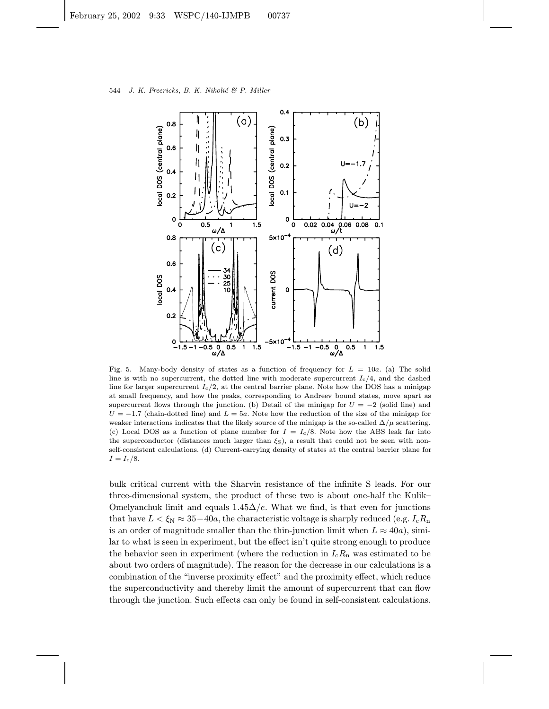

Fig. 5. Many-body density of states as a function of frequency for  $L = 10a$ . (a) The solid line is with no supercurrent, the dotted line with moderate supercurrent  $I_c/4$ , and the dashed line for larger supercurrent  $I_c/2$ , at the central barrier plane. Note how the DOS has a minigap at small frequency, and how the peaks, corresponding to Andreev bound states, move apart as supercurrent flows through the junction. (b) Detail of the minigap for  $U = -2$  (solid line) and  $U = -1.7$  (chain-dotted line) and  $L = 5a$ . Note how the reduction of the size of the minigap for weaker interactions indicates that the likely source of the minigap is the so-called  $\Delta/\mu$  scattering. (c) Local DOS as a function of plane number for  $I = I_c/8$ . Note how the ABS leak far into the superconductor (distances much larger than  $\xi_S$ ), a result that could not be seen with nonself-consistent calculations. (d) Current-carrying density of states at the central barrier plane for  $I = I_{\rm c}/8.$ 

bulk critical current with the Sharvin resistance of the infinite S leads. For our three-dimensional system, the product of these two is about one-half the Kulik– Omelyanchuk limit and equals  $1.45\Delta/e$ . What we find, is that even for junctions that have  $L < \xi_N \approx 35-40a$ , the characteristic voltage is sharply reduced (e.g.  $I_cR_n$ ) is an order of magnitude smaller than the thin-junction limit when  $L \approx 40a$ , similar to what is seen in experiment, but the effect isn't quite strong enough to produce the behavior seen in experiment (where the reduction in  $I_cR_n$  was estimated to be about two orders of magnitude). The reason for the decrease in our calculations is a combination of the "inverse proximity effect" and the proximity effect, which reduce the superconductivity and thereby limit the amount of supercurrent that can flow through the junction. Such effects can only be found in self-consistent calculations.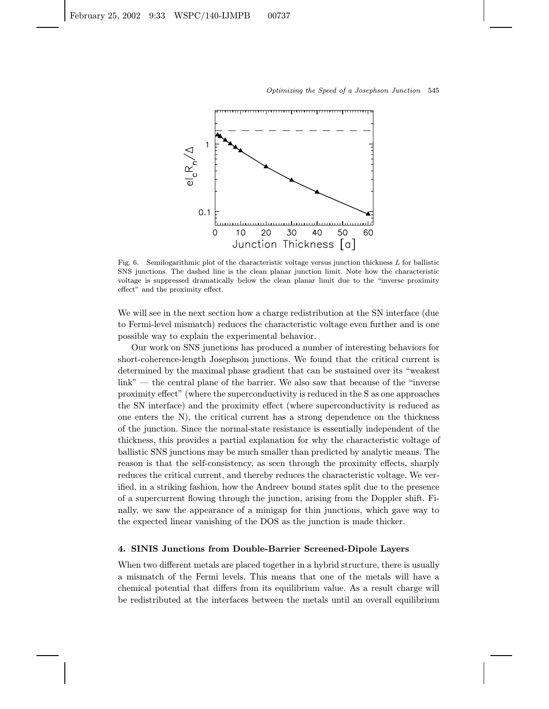

Fig. 6. Semilogarithmic plot of the characteristic voltage versus junction thickness L for ballistic SNS junctions. The dashed line is the clean planar junction limit. Note how the characteristic voltage is suppressed dramatically below the clean planar limit due to the "inverse proximity effect" and the proximity effect.

We will see in the next section how a charge redistribution at the SN interface (due to Fermi-level mismatch) reduces the characteristic voltage even further and is one possible way to explain the experimental behavior.

Our work on SNS junctions has produced a number of interesting behaviors for short-coherence-length Josephson junctions. We found that the critical current is determined by the maximal phase gradient that can be sustained over its "weakest link" — the central plane of the barrier. We also saw that because of the "inverse proximity effect" (where the superconductivity is reduced in the S as one approaches the SN interface) and the proximity effect (where superconductivity is reduced as one enters the N), the critical current has a strong dependence on the thickness of the junction. Since the normal-state resistance is essentially independent of the thickness, this provides a partial explanation for why the characteristic voltage of ballistic SNS junctions may be much smaller than predicted by analytic means. The reason is that the self-consistency, as seen through the proximity effects, sharply reduces the critical current, and thereby reduces the characteristic voltage. We verified, in a striking fashion, how the Andreev bound states split due to the presence of a supercurrent flowing through the junction, arising from the Doppler shift. Finally, we saw the appearance of a minigap for thin junctions, which gave way to the expected linear vanishing of the DOS as the junction is made thicker.

### 4. SINIS Junctions from Double-Barrier Screened-Dipole Layers

When two different metals are placed together in a hybrid structure, there is usually a mismatch of the Fermi levels. This means that one of the metals will have a chemical potential that differs from its equilibrium value. As a result charge will be redistributed at the interfaces between the metals until an overall equilibrium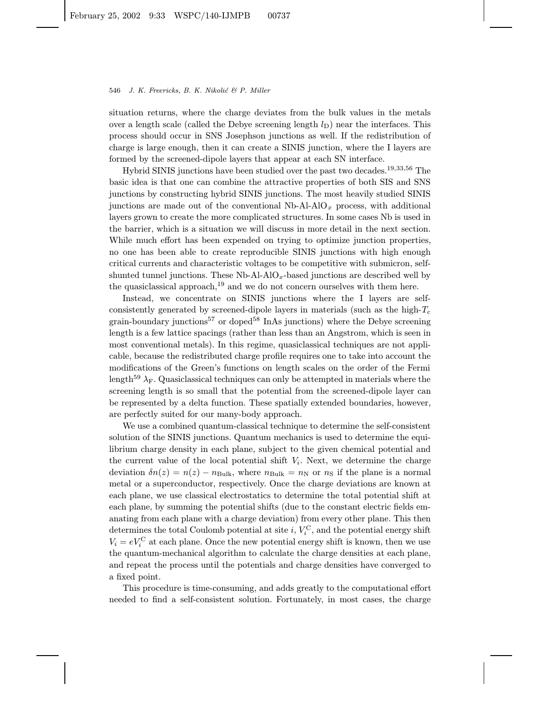situation returns, where the charge deviates from the bulk values in the metals over a length scale (called the Debye screening length  $l<sub>D</sub>$ ) near the interfaces. This process should occur in SNS Josephson junctions as well. If the redistribution of charge is large enough, then it can create a SINIS junction, where the I layers are formed by the screened-dipole layers that appear at each SN interface.

Hybrid SINIS junctions have been studied over the past two decades.<sup>19</sup>,33,<sup>56</sup> The basic idea is that one can combine the attractive properties of both SIS and SNS junctions by constructing hybrid SINIS junctions. The most heavily studied SINIS junctions are made out of the conventional Nb-Al-AlO<sub>x</sub> process, with additional layers grown to create the more complicated structures. In some cases Nb is used in the barrier, which is a situation we will discuss in more detail in the next section. While much effort has been expended on trying to optimize junction properties, no one has been able to create reproducible SINIS junctions with high enough critical currents and characteristic voltages to be competitive with submicron, selfshunted tunnel junctions. These  $Nb-Al-AlO<sub>x</sub>$ -based junctions are described well by the quasiclassical approach, $19$  and we do not concern ourselves with them here.

Instead, we concentrate on SINIS junctions where the I layers are selfconsistently generated by screened-dipole layers in materials (such as the high- $T_c$ grain-boundary junctions<sup>57</sup> or doped<sup>58</sup> InAs junctions) where the Debye screening length is a few lattice spacings (rather than less than an Angstrom, which is seen in most conventional metals). In this regime, quasiclassical techniques are not applicable, because the redistributed charge profile requires one to take into account the modifications of the Green's functions on length scales on the order of the Fermi length<sup>59</sup>  $\lambda_F$ . Quasiclassical techniques can only be attempted in materials where the screening length is so small that the potential from the screened-dipole layer can be represented by a delta function. These spatially extended boundaries, however, are perfectly suited for our many-body approach.

We use a combined quantum-classical technique to determine the self-consistent solution of the SINIS junctions. Quantum mechanics is used to determine the equilibrium charge density in each plane, subject to the given chemical potential and the current value of the local potential shift  $V_i$ . Next, we determine the charge deviation  $\delta n(z) = n(z) - n_{\text{Bulk}}$ , where  $n_{\text{Bulk}} = n_N$  or  $n_S$  if the plane is a normal metal or a superconductor, respectively. Once the charge deviations are known at each plane, we use classical electrostatics to determine the total potential shift at each plane, by summing the potential shifts (due to the constant electric fields emanating from each plane with a charge deviation) from every other plane. This then determines the total Coulomb potential at site  $i, V_i^C$ , and the potential energy shift  $V_i = eV_i^{\text{C}}$  at each plane. Once the new potential energy shift is known, then we use the quantum-mechanical algorithm to calculate the charge densities at each plane, and repeat the process until the potentials and charge densities have converged to a fixed point.

This procedure is time-consuming, and adds greatly to the computational effort needed to find a self-consistent solution. Fortunately, in most cases, the charge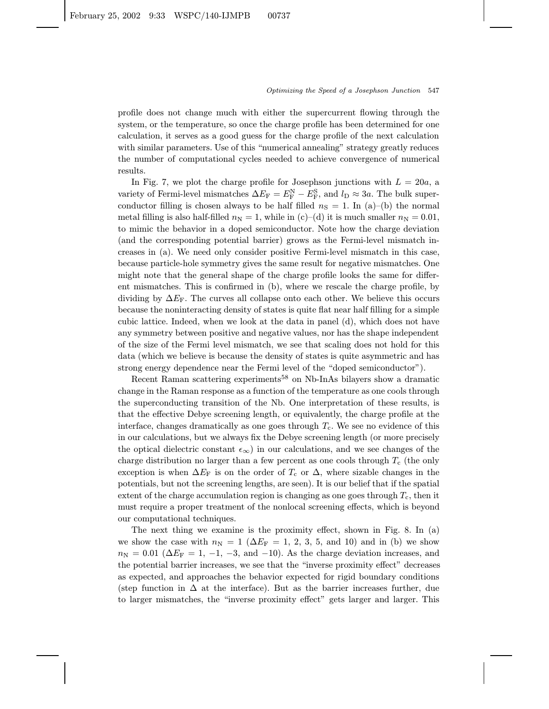profile does not change much with either the supercurrent flowing through the system, or the temperature, so once the charge profile has been determined for one calculation, it serves as a good guess for the charge profile of the next calculation with similar parameters. Use of this "numerical annealing" strategy greatly reduces the number of computational cycles needed to achieve convergence of numerical results.

In Fig. 7, we plot the charge profile for Josephson junctions with  $L = 20a$ , a variety of Fermi-level mismatches  $\Delta E_{\rm F} = E_{\rm F}^{\rm N} - E_{\rm F}^{\rm S}$ , and  $l_{\rm D} \approx 3a$ . The bulk superconductor filling is chosen always to be half filled  $n<sub>S</sub> = 1$ . In (a)–(b) the normal metal filling is also half-filled  $n_N = 1$ , while in (c)–(d) it is much smaller  $n_N = 0.01$ , to mimic the behavior in a doped semiconductor. Note how the charge deviation (and the corresponding potential barrier) grows as the Fermi-level mismatch increases in (a). We need only consider positive Fermi-level mismatch in this case, because particle-hole symmetry gives the same result for negative mismatches. One might note that the general shape of the charge profile looks the same for different mismatches. This is confirmed in (b), where we rescale the charge profile, by dividing by  $\Delta E_{\rm F}$ . The curves all collapse onto each other. We believe this occurs because the noninteracting density of states is quite flat near half filling for a simple cubic lattice. Indeed, when we look at the data in panel (d), which does not have any symmetry between positive and negative values, nor has the shape independent of the size of the Fermi level mismatch, we see that scaling does not hold for this data (which we believe is because the density of states is quite asymmetric and has strong energy dependence near the Fermi level of the "doped semiconductor").

Recent Raman scattering experiments<sup>58</sup> on Nb-InAs bilayers show a dramatic change in the Raman response as a function of the temperature as one cools through the superconducting transition of the Nb. One interpretation of these results, is that the effective Debye screening length, or equivalently, the charge profile at the interface, changes dramatically as one goes through  $T_c$ . We see no evidence of this in our calculations, but we always fix the Debye screening length (or more precisely the optical dielectric constant  $\epsilon_{\infty}$ ) in our calculations, and we see changes of the charge distribution no larger than a few percent as one cools through  $T_c$  (the only exception is when  $\Delta E_F$  is on the order of  $T_c$  or  $\Delta$ , where sizable changes in the potentials, but not the screening lengths, are seen). It is our belief that if the spatial extent of the charge accumulation region is changing as one goes through  $T_c$ , then it must require a proper treatment of the nonlocal screening effects, which is beyond our computational techniques.

The next thing we examine is the proximity effect, shown in Fig. 8. In (a) we show the case with  $n_N = 1$  ( $\Delta E_F = 1, 2, 3, 5,$  and 10) and in (b) we show  $n_{\rm N} = 0.01$  ( $\Delta E_{\rm F} = 1, -1, -3,$  and  $-10$ ). As the charge deviation increases, and the potential barrier increases, we see that the "inverse proximity effect" decreases as expected, and approaches the behavior expected for rigid boundary conditions (step function in  $\Delta$  at the interface). But as the barrier increases further, due to larger mismatches, the "inverse proximity effect" gets larger and larger. This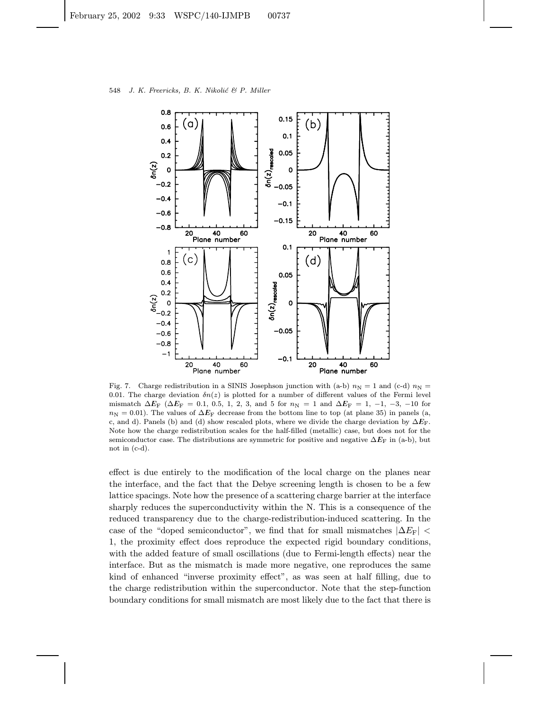

Fig. 7. Charge redistribution in a SINIS Josephson junction with (a-b)  $n_N = 1$  and (c-d)  $n_N =$ 0.01. The charge deviation  $\delta n(z)$  is plotted for a number of different values of the Fermi level mismatch  $\Delta E_{\rm F}$  ( $\Delta E_{\rm F}$  = 0.1, 0.5, 1, 2, 3, and 5 for  $n_{\rm N}$  = 1 and  $\Delta E_{\rm F}$  = 1, -1, -3, -10 for  $n_{\rm N} = 0.01$ ). The values of  $\Delta E_{\rm F}$  decrease from the bottom line to top (at plane 35) in panels (a, c, and d). Panels (b) and (d) show rescaled plots, where we divide the charge deviation by  $\Delta E_{\rm F}$ . Note how the charge redistribution scales for the half-filled (metallic) case, but does not for the semiconductor case. The distributions are symmetric for positive and negative  $\Delta E_{\rm F}$  in (a-b), but not in (c-d).

effect is due entirely to the modification of the local charge on the planes near the interface, and the fact that the Debye screening length is chosen to be a few lattice spacings. Note how the presence of a scattering charge barrier at the interface sharply reduces the superconductivity within the N. This is a consequence of the reduced transparency due to the charge-redistribution-induced scattering. In the case of the "doped semiconductor", we find that for small mismatches  $|\Delta E_{\rm F}|$  < 1, the proximity effect does reproduce the expected rigid boundary conditions, with the added feature of small oscillations (due to Fermi-length effects) near the interface. But as the mismatch is made more negative, one reproduces the same kind of enhanced "inverse proximity effect", as was seen at half filling, due to the charge redistribution within the superconductor. Note that the step-function boundary conditions for small mismatch are most likely due to the fact that there is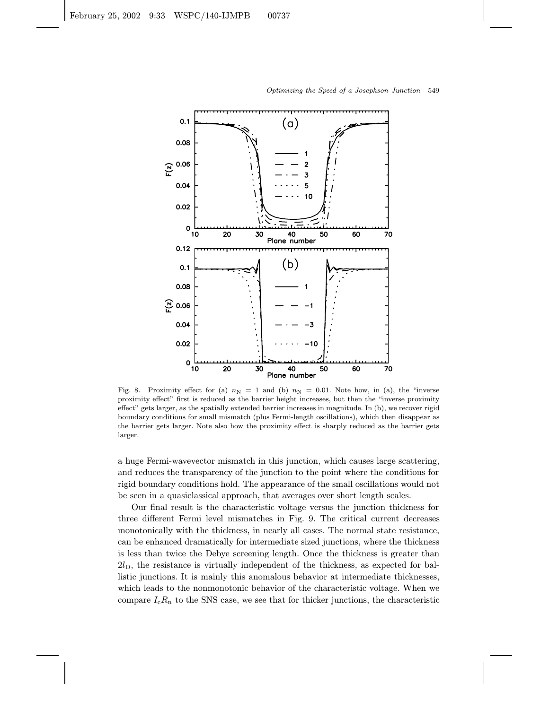

Fig. 8. Proximity effect for (a)  $n_N = 1$  and (b)  $n_N = 0.01$ . Note how, in (a), the "inverse proximity effect" first is reduced as the barrier height increases, but then the "inverse proximity effect" gets larger, as the spatially extended barrier increases in magnitude. In (b), we recover rigid boundary conditions for small mismatch (plus Fermi-length oscillations), which then disappear as the barrier gets larger. Note also how the proximity effect is sharply reduced as the barrier gets larger.

a huge Fermi-wavevector mismatch in this junction, which causes large scattering, and reduces the transparency of the junction to the point where the conditions for rigid boundary conditions hold. The appearance of the small oscillations would not be seen in a quasiclassical approach, that averages over short length scales.

Our final result is the characteristic voltage versus the junction thickness for three different Fermi level mismatches in Fig. 9. The critical current decreases monotonically with the thickness, in nearly all cases. The normal state resistance, can be enhanced dramatically for intermediate sized junctions, where the thickness is less than twice the Debye screening length. Once the thickness is greater than  $2l<sub>D</sub>$ , the resistance is virtually independent of the thickness, as expected for ballistic junctions. It is mainly this anomalous behavior at intermediate thicknesses, which leads to the nonmonotonic behavior of the characteristic voltage. When we compare  $I_cR_n$  to the SNS case, we see that for thicker junctions, the characteristic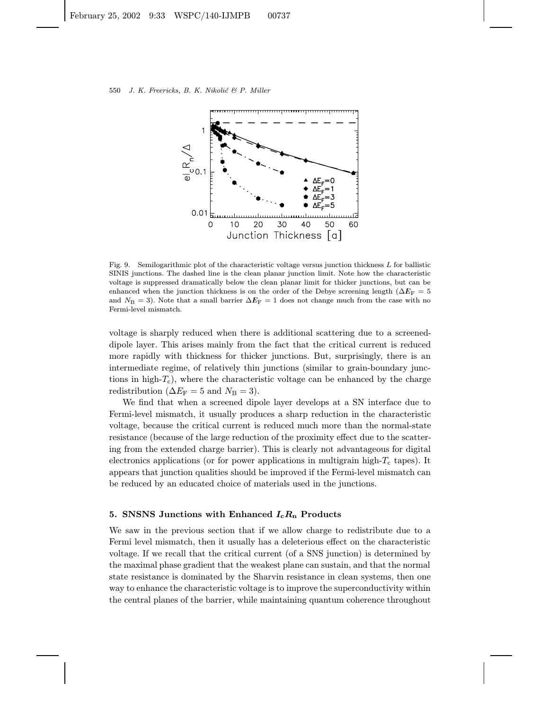

Fig. 9. Semilogarithmic plot of the characteristic voltage versus junction thickness  $L$  for ballistic SINIS junctions. The dashed line is the clean planar junction limit. Note how the characteristic voltage is suppressed dramatically below the clean planar limit for thicker junctions, but can be enhanced when the junction thickness is on the order of the Debye screening length ( $\Delta E_{\rm F} = 5$ and  $N_B = 3$ ). Note that a small barrier  $\Delta E_F = 1$  does not change much from the case with no Fermi-level mismatch.

voltage is sharply reduced when there is additional scattering due to a screeneddipole layer. This arises mainly from the fact that the critical current is reduced more rapidly with thickness for thicker junctions. But, surprisingly, there is an intermediate regime, of relatively thin junctions (similar to grain-boundary junctions in high- $T_c$ ), where the characteristic voltage can be enhanced by the charge redistribution ( $\Delta E_{\rm F} = 5$  and  $N_{\rm B} = 3$ ).

We find that when a screened dipole layer develops at a SN interface due to Fermi-level mismatch, it usually produces a sharp reduction in the characteristic voltage, because the critical current is reduced much more than the normal-state resistance (because of the large reduction of the proximity effect due to the scattering from the extended charge barrier). This is clearly not advantageous for digital electronics applications (or for power applications in multigrain high- $T_c$  tapes). It appears that junction qualities should be improved if the Fermi-level mismatch can be reduced by an educated choice of materials used in the junctions.

#### 5. SNSNS Junctions with Enhanced  $I_cR_n$  Products

We saw in the previous section that if we allow charge to redistribute due to a Fermi level mismatch, then it usually has a deleterious effect on the characteristic voltage. If we recall that the critical current (of a SNS junction) is determined by the maximal phase gradient that the weakest plane can sustain, and that the normal state resistance is dominated by the Sharvin resistance in clean systems, then one way to enhance the characteristic voltage is to improve the superconductivity within the central planes of the barrier, while maintaining quantum coherence throughout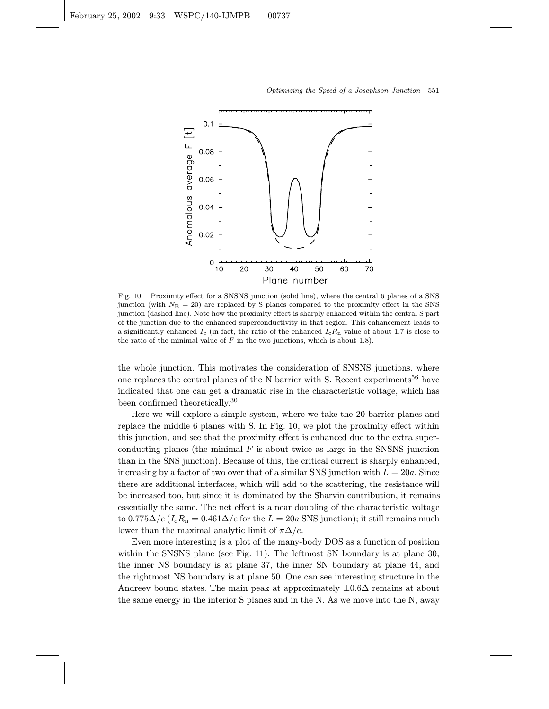

Fig. 10. Proximity effect for a SNSNS junction (solid line), where the central 6 planes of a SNS junction (with  $N_B = 20$ ) are replaced by S planes compared to the proximity effect in the SNS junction (dashed line). Note how the proximity effect is sharply enhanced within the central S part of the junction due to the enhanced superconductivity in that region. This enhancement leads to a significantly enhanced  $I_c$  (in fact, the ratio of the enhanced  $I_cR_n$  value of about 1.7 is close to the ratio of the minimal value of  $F$  in the two junctions, which is about 1.8).

the whole junction. This motivates the consideration of SNSNS junctions, where one replaces the central planes of the N barrier with S. Recent experiments<sup>56</sup> have indicated that one can get a dramatic rise in the characteristic voltage, which has been confirmed theoretically.<sup>30</sup>

Here we will explore a simple system, where we take the 20 barrier planes and replace the middle 6 planes with S. In Fig. 10, we plot the proximity effect within this junction, and see that the proximity effect is enhanced due to the extra superconducting planes (the minimal  $F$  is about twice as large in the SNSNS junction than in the SNS junction). Because of this, the critical current is sharply enhanced, increasing by a factor of two over that of a similar SNS junction with  $L = 20a$ . Since there are additional interfaces, which will add to the scattering, the resistance will be increased too, but since it is dominated by the Sharvin contribution, it remains essentially the same. The net effect is a near doubling of the characteristic voltage to 0.775 $\Delta/e$  ( $I_cR_n = 0.461\Delta/e$  for the  $L = 20a$  SNS junction); it still remains much lower than the maximal analytic limit of  $\pi\Delta/e$ .

Even more interesting is a plot of the many-body DOS as a function of position within the SNSNS plane (see Fig. 11). The leftmost SN boundary is at plane 30, the inner NS boundary is at plane 37, the inner SN boundary at plane 44, and the rightmost NS boundary is at plane 50. One can see interesting structure in the Andreev bound states. The main peak at approximately  $\pm 0.6\Delta$  remains at about the same energy in the interior S planes and in the N. As we move into the N, away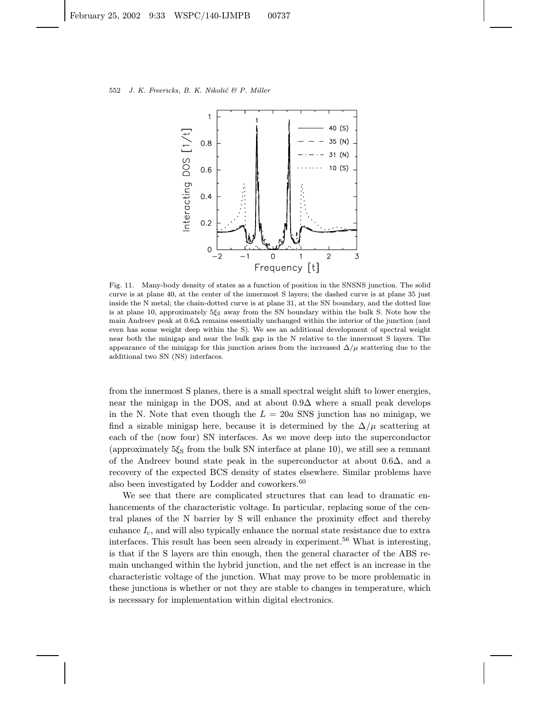

Fig. 11. Many-body density of states as a function of position in the SNSNS junction. The solid curve is at plane 40, at the center of the innermost S layers; the dashed curve is at plane 35 just inside the N metal; the chain-dotted curve is at plane 31, at the SN boundary, and the dotted line is at plane 10, approximately  $5\xi_s$  away from the SN boundary within the bulk S. Note how the main Andreev peak at 0.6∆ remains essentially unchanged within the interior of the junction (and even has some weight deep within the S). We see an additional development of spectral weight near both the minigap and near the bulk gap in the N relative to the innermost S layers. The appearance of the minigap for this junction arises from the increased  $\Delta/\mu$  scattering due to the additional two SN (NS) interfaces.

from the innermost S planes, there is a small spectral weight shift to lower energies, near the minigap in the DOS, and at about  $0.9\Delta$  where a small peak develops in the N. Note that even though the  $L = 20a$  SNS junction has no minigap, we find a sizable minigap here, because it is determined by the  $\Delta/\mu$  scattering at each of the (now four) SN interfaces. As we move deep into the superconductor (approximately  $5\xi_S$  from the bulk SN interface at plane 10), we still see a remnant of the Andreev bound state peak in the superconductor at about  $0.6\Delta$ , and a recovery of the expected BCS density of states elsewhere. Similar problems have also been investigated by Lodder and coworkers.<sup>60</sup>

We see that there are complicated structures that can lead to dramatic enhancements of the characteristic voltage. In particular, replacing some of the central planes of the N barrier by S will enhance the proximity effect and thereby enhance Ic, and will also typically enhance the normal state resistance due to extra interfaces. This result has been seen already in experiment.<sup>56</sup> What is interesting, is that if the S layers are thin enough, then the general character of the ABS remain unchanged within the hybrid junction, and the net effect is an increase in the characteristic voltage of the junction. What may prove to be more problematic in these junctions is whether or not they are stable to changes in temperature, which is necessary for implementation within digital electronics.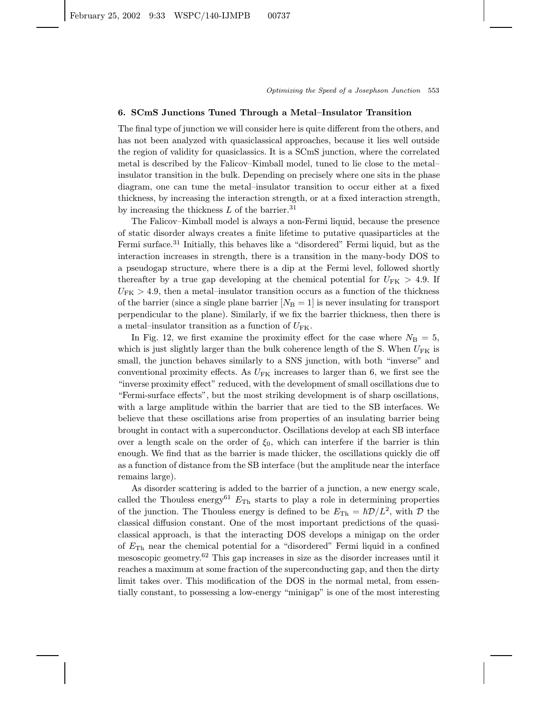#### 6. SCmS Junctions Tuned Through a Metal–Insulator Transition

The final type of junction we will consider here is quite different from the others, and has not been analyzed with quasiclassical approaches, because it lies well outside the region of validity for quasiclassics. It is a SCmS junction, where the correlated metal is described by the Falicov–Kimball model, tuned to lie close to the metal– insulator transition in the bulk. Depending on precisely where one sits in the phase diagram, one can tune the metal–insulator transition to occur either at a fixed thickness, by increasing the interaction strength, or at a fixed interaction strength, by increasing the thickness  $L$  of the barrier.<sup>31</sup>

The Falicov–Kimball model is always a non-Fermi liquid, because the presence of static disorder always creates a finite lifetime to putative quasiparticles at the Fermi surface.<sup>31</sup> Initially, this behaves like a "disordered" Fermi liquid, but as the interaction increases in strength, there is a transition in the many-body DOS to a pseudogap structure, where there is a dip at the Fermi level, followed shortly thereafter by a true gap developing at the chemical potential for  $U_{FK} > 4.9$ . If  $U_{\text{FK}} > 4.9$ , then a metal–insulator transition occurs as a function of the thickness of the barrier (since a single plane barrier  $[N_B = 1]$  is never insulating for transport perpendicular to the plane). Similarly, if we fix the barrier thickness, then there is a metal–insulator transition as a function of  $U_{\text{FK}}$ .

In Fig. 12, we first examine the proximity effect for the case where  $N_{\rm B} = 5$ , which is just slightly larger than the bulk coherence length of the S. When  $U_{\text{FK}}$  is small, the junction behaves similarly to a SNS junction, with both "inverse" and conventional proximity effects. As  $U_{\text{FK}}$  increases to larger than 6, we first see the "inverse proximity effect" reduced, with the development of small oscillations due to "Fermi-surface effects", but the most striking development is of sharp oscillations, with a large amplitude within the barrier that are tied to the SB interfaces. We believe that these oscillations arise from properties of an insulating barrier being brought in contact with a superconductor. Oscillations develop at each SB interface over a length scale on the order of  $\xi_0$ , which can interfere if the barrier is thin enough. We find that as the barrier is made thicker, the oscillations quickly die off as a function of distance from the SB interface (but the amplitude near the interface remains large).

As disorder scattering is added to the barrier of a junction, a new energy scale, called the Thouless energy<sup>61</sup>  $E_{\text{Th}}$  starts to play a role in determining properties of the junction. The Thouless energy is defined to be  $E_{\text{Th}} = \hbar \mathcal{D}/L^2$ , with  $\mathcal D$  the classical diffusion constant. One of the most important predictions of the quasiclassical approach, is that the interacting DOS develops a minigap on the order of  $E_{\text{Th}}$  near the chemical potential for a "disordered" Fermi liquid in a confined mesoscopic geometry.<sup>62</sup> This gap increases in size as the disorder increases until it reaches a maximum at some fraction of the superconducting gap, and then the dirty limit takes over. This modification of the DOS in the normal metal, from essentially constant, to possessing a low-energy "minigap" is one of the most interesting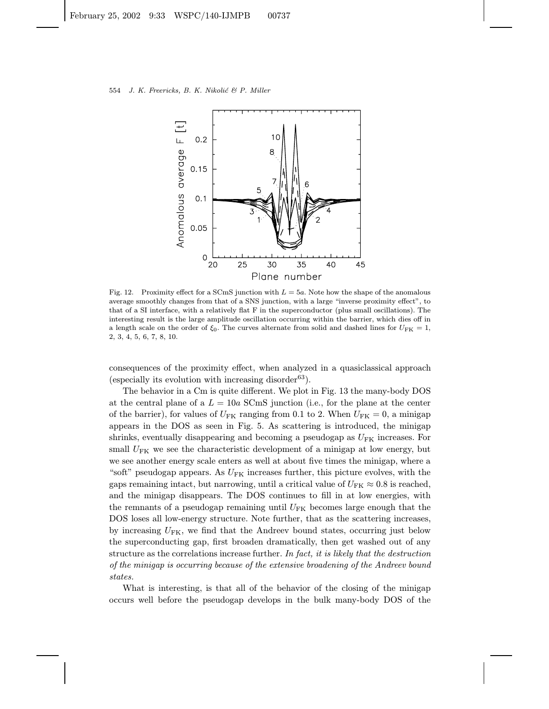

Fig. 12. Proximity effect for a SCmS junction with  $L = 5a$ . Note how the shape of the anomalous average smoothly changes from that of a SNS junction, with a large "inverse proximity effect", to that of a SI interface, with a relatively flat F in the superconductor (plus small oscillations). The interesting result is the large amplitude oscillation occurring within the barrier, which dies off in a length scale on the order of  $\xi_0$ . The curves alternate from solid and dashed lines for  $U_{\text{FK}} = 1$ , 2, 3, 4, 5, 6, 7, 8, 10.

consequences of the proximity effect, when analyzed in a quasiclassical approach (especially its evolution with increasing disorder $63$ ).

The behavior in a Cm is quite different. We plot in Fig. 13 the many-body DOS at the central plane of a  $L = 10a$  SCmS junction (i.e., for the plane at the center of the barrier), for values of  $U_{\text{FK}}$  ranging from 0.1 to 2. When  $U_{\text{FK}} = 0$ , a minigap appears in the DOS as seen in Fig. 5. As scattering is introduced, the minigap shrinks, eventually disappearing and becoming a pseudogap as  $U_{FK}$  increases. For small  $U_{\text{FK}}$  we see the characteristic development of a minigap at low energy, but we see another energy scale enters as well at about five times the minigap, where a "soft" pseudogap appears. As  $U_{FK}$  increases further, this picture evolves, with the gaps remaining intact, but narrowing, until a critical value of  $U_{\text{FK}} \approx 0.8$  is reached, and the minigap disappears. The DOS continues to fill in at low energies, with the remnants of a pseudogap remaining until  $U_{\text{FK}}$  becomes large enough that the DOS loses all low-energy structure. Note further, that as the scattering increases, by increasing  $U_{\text{FK}}$ , we find that the Andreev bound states, occurring just below the superconducting gap, first broaden dramatically, then get washed out of any structure as the correlations increase further. In fact, it is likely that the destruction of the minigap is occurring because of the extensive broadening of the Andreev bound states.

What is interesting, is that all of the behavior of the closing of the minigap occurs well before the pseudogap develops in the bulk many-body DOS of the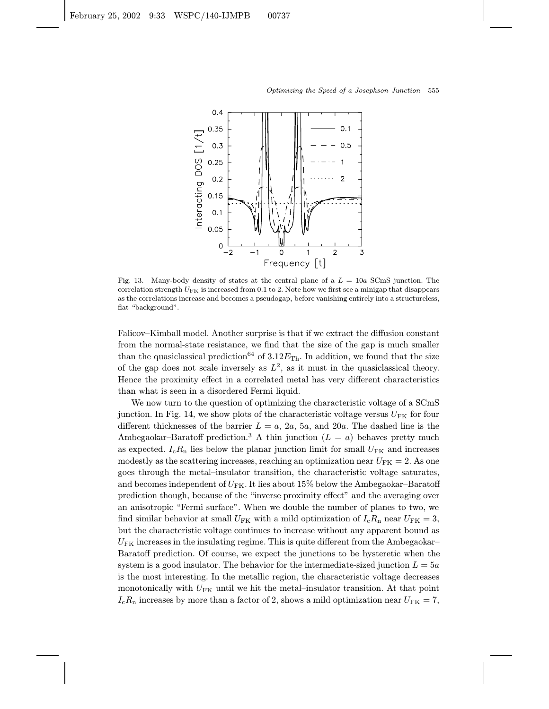

Fig. 13. Many-body density of states at the central plane of a  $L = 10a$  SCmS junction. The correlation strength  $U_{\text{FK}}$  is increased from 0.1 to 2. Note how we first see a minigap that disappears as the correlations increase and becomes a pseudogap, before vanishing entirely into a structureless, flat "background".

Falicov–Kimball model. Another surprise is that if we extract the diffusion constant from the normal-state resistance, we find that the size of the gap is much smaller than the quasiclassical prediction<sup>64</sup> of  $3.12E_{\text{Th}}$ . In addition, we found that the size of the gap does not scale inversely as  $L^2$ , as it must in the quasiclassical theory. Hence the proximity effect in a correlated metal has very different characteristics than what is seen in a disordered Fermi liquid.

We now turn to the question of optimizing the characteristic voltage of a SCmS junction. In Fig. 14, we show plots of the characteristic voltage versus  $U_{\text{FK}}$  for four different thicknesses of the barrier  $L = a, 2a, 5a,$  and  $20a$ . The dashed line is the Ambegaokar–Baratoff prediction.<sup>3</sup> A thin junction  $(L = a)$  behaves pretty much as expected.  $I_c R_n$  lies below the planar junction limit for small  $U_{FK}$  and increases modestly as the scattering increases, reaching an optimization near  $U_{\text{FK}} = 2$ . As one goes through the metal–insulator transition, the characteristic voltage saturates, and becomes independent of  $U_{\text{FK}}$ . It lies about 15% below the Ambegaokar–Baratoff prediction though, because of the "inverse proximity effect" and the averaging over an anisotropic "Fermi surface". When we double the number of planes to two, we find similar behavior at small  $U_{\text{FK}}$  with a mild optimization of  $I_cR_n$  near  $U_{\text{FK}} = 3$ , but the characteristic voltage continues to increase without any apparent bound as  $U_{\text{FK}}$  increases in the insulating regime. This is quite different from the Ambegaokar– Baratoff prediction. Of course, we expect the junctions to be hysteretic when the system is a good insulator. The behavior for the intermediate-sized junction  $L = 5a$ is the most interesting. In the metallic region, the characteristic voltage decreases monotonically with  $U_{\text{FK}}$  until we hit the metal–insulator transition. At that point  $I_c R_n$  increases by more than a factor of 2, shows a mild optimization near  $U_{FK} = 7$ ,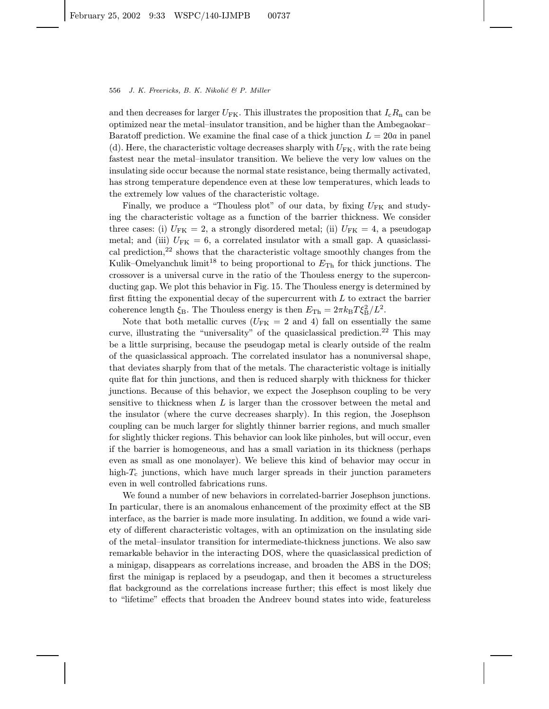and then decreases for larger  $U_{\text{FK}}$ . This illustrates the proposition that  $I_c R_n$  can be optimized near the metal–insulator transition, and be higher than the Ambegaokar– Baratoff prediction. We examine the final case of a thick junction  $L = 20a$  in panel (d). Here, the characteristic voltage decreases sharply with  $U_{\rm FK}$ , with the rate being fastest near the metal–insulator transition. We believe the very low values on the insulating side occur because the normal state resistance, being thermally activated, has strong temperature dependence even at these low temperatures, which leads to the extremely low values of the characteristic voltage.

Finally, we produce a "Thouless plot" of our data, by fixing  $U_{FK}$  and studying the characteristic voltage as a function of the barrier thickness. We consider three cases: (i)  $U_{\text{FK}} = 2$ , a strongly disordered metal; (ii)  $U_{\text{FK}} = 4$ , a pseudogap metal; and (iii)  $U_{FK} = 6$ , a correlated insulator with a small gap. A quasiclassical prediction, $2^2$  shows that the characteristic voltage smoothly changes from the Kulik–Omelyanchuk limit<sup>18</sup> to being proportional to  $E_{\text{Th}}$  for thick junctions. The crossover is a universal curve in the ratio of the Thouless energy to the superconducting gap. We plot this behavior in Fig. 15. The Thouless energy is determined by first fitting the exponential decay of the supercurrent with  $L$  to extract the barrier coherence length  $\xi_{\rm B}$ . The Thouless energy is then  $E_{\rm Th} = 2\pi k_{\rm B}T \xi_{\rm B}^2/L^2$ .

Note that both metallic curves  $(U_{FK} = 2$  and 4) fall on essentially the same curve, illustrating the "universality" of the quasiclassical prediction.<sup>22</sup> This may be a little surprising, because the pseudogap metal is clearly outside of the realm of the quasiclassical approach. The correlated insulator has a nonuniversal shape, that deviates sharply from that of the metals. The characteristic voltage is initially quite flat for thin junctions, and then is reduced sharply with thickness for thicker junctions. Because of this behavior, we expect the Josephson coupling to be very sensitive to thickness when L is larger than the crossover between the metal and the insulator (where the curve decreases sharply). In this region, the Josephson coupling can be much larger for slightly thinner barrier regions, and much smaller for slightly thicker regions. This behavior can look like pinholes, but will occur, even if the barrier is homogeneous, and has a small variation in its thickness (perhaps even as small as one monolayer). We believe this kind of behavior may occur in high- $T_c$  junctions, which have much larger spreads in their junction parameters even in well controlled fabrications runs.

We found a number of new behaviors in correlated-barrier Josephson junctions. In particular, there is an anomalous enhancement of the proximity effect at the SB interface, as the barrier is made more insulating. In addition, we found a wide variety of different characteristic voltages, with an optimization on the insulating side of the metal–insulator transition for intermediate-thickness junctions. We also saw remarkable behavior in the interacting DOS, where the quasiclassical prediction of a minigap, disappears as correlations increase, and broaden the ABS in the DOS; first the minigap is replaced by a pseudogap, and then it becomes a structureless flat background as the correlations increase further; this effect is most likely due to "lifetime" effects that broaden the Andreev bound states into wide, featureless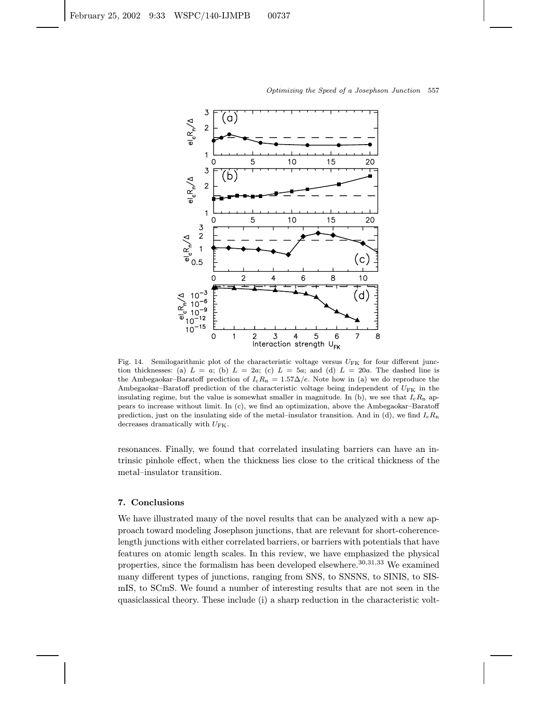

Fig. 14. Semilogarithmic plot of the characteristic voltage versus  $U_{\text{FK}}$  for four different junction thicknesses: (a)  $L = a$ ; (b)  $L = 2a$ ; (c)  $L = 5a$ ; and (d)  $L = 20a$ . The dashed line is the Ambegaokar–Baratoff prediction of  $I_cR_n = 1.57\Delta/e$ . Note how in (a) we do reproduce the Ambegaokar–Baratoff prediction of the characteristic voltage being independent of  $U_{FK}$  in the insulating regime, but the value is somewhat smaller in magnitude. In (b), we see that  $I_cR_n$  appears to increase without limit. In (c), we find an optimization, above the Ambegaokar–Baratoff prediction, just on the insulating side of the metal–insulator transition. And in (d), we find  $I_cR_n$ decreases dramatically with  $U_{\text{FK}}$ .

resonances. Finally, we found that correlated insulating barriers can have an intrinsic pinhole effect, when the thickness lies close to the critical thickness of the metal–insulator transition.

## 7. Conclusions

We have illustrated many of the novel results that can be analyzed with a new approach toward modeling Josephson junctions, that are relevant for short-coherencelength junctions with either correlated barriers, or barriers with potentials that have features on atomic length scales. In this review, we have emphasized the physical properties, since the formalism has been developed elsewhere.<sup>30,31,33</sup> We examined many different types of junctions, ranging from SNS, to SNSNS, to SINIS, to SISmIS, to SCmS. We found a number of interesting results that are not seen in the quasiclassical theory. These include (i) a sharp reduction in the characteristic volt-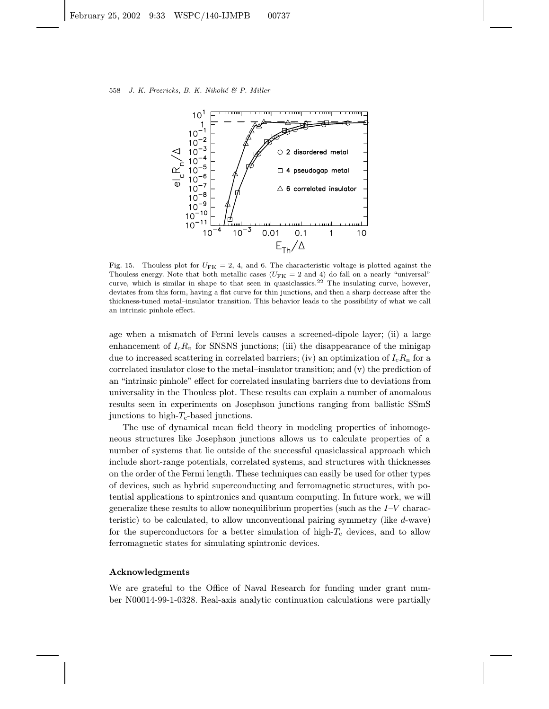

Fig. 15. Thouless plot for  $U_{\text{FK}} = 2, 4$ , and 6. The characteristic voltage is plotted against the Thouless energy. Note that both metallic cases  $(U_{FK} = 2 \text{ and } 4)$  do fall on a nearly "universal" curve, which is similar in shape to that seen in quasiclassics.<sup>22</sup> The insulating curve, however, deviates from this form, having a flat curve for thin junctions, and then a sharp decrease after the thickness-tuned metal–insulator transition. This behavior leads to the possibility of what we call an intrinsic pinhole effect.

age when a mismatch of Fermi levels causes a screened-dipole layer; (ii) a large enhancement of  $I_cR_n$  for SNSNS junctions; (iii) the disappearance of the minigap due to increased scattering in correlated barriers; (iv) an optimization of  $I_c R_n$  for a correlated insulator close to the metal–insulator transition; and (v) the prediction of an "intrinsic pinhole" effect for correlated insulating barriers due to deviations from universality in the Thouless plot. These results can explain a number of anomalous results seen in experiments on Josephson junctions ranging from ballistic SSmS junctions to high- $T_c$ -based junctions.

The use of dynamical mean field theory in modeling properties of inhomogeneous structures like Josephson junctions allows us to calculate properties of a number of systems that lie outside of the successful quasiclassical approach which include short-range potentials, correlated systems, and structures with thicknesses on the order of the Fermi length. These techniques can easily be used for other types of devices, such as hybrid superconducting and ferromagnetic structures, with potential applications to spintronics and quantum computing. In future work, we will generalize these results to allow nonequilibrium properties (such as the  $I-V$  characteristic) to be calculated, to allow unconventional pairing symmetry (like d-wave) for the superconductors for a better simulation of high- $T_c$  devices, and to allow ferromagnetic states for simulating spintronic devices.

#### Acknowledgments

We are grateful to the Office of Naval Research for funding under grant number N00014-99-1-0328. Real-axis analytic continuation calculations were partially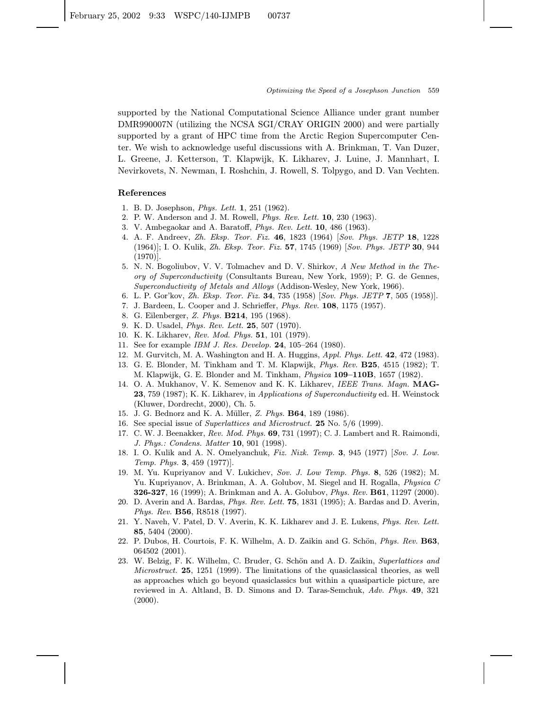supported by the National Computational Science Alliance under grant number DMR990007N (utilizing the NCSA SGI/CRAY ORIGIN 2000) and were partially supported by a grant of HPC time from the Arctic Region Supercomputer Center. We wish to acknowledge useful discussions with A. Brinkman, T. Van Duzer, L. Greene, J. Ketterson, T. Klapwijk, K. Likharev, J. Luine, J. Mannhart, I. Nevirkovets, N. Newman, I. Roshchin, J. Rowell, S. Tolpygo, and D. Van Vechten.

### References

- 1. B. D. Josephson, Phys. Lett. 1, 251 (1962).
- 2. P. W. Anderson and J. M. Rowell, Phys. Rev. Lett. 10, 230 (1963).
- 3. V. Ambegaokar and A. Baratoff, Phys. Rev. Lett. 10, 486 (1963).
- 4. A. F. Andreev, Zh. Eksp. Teor. Fiz. 46, 1823 (1964) [Sov. Phys. JETP 18, 1228 (1964)]; I. O. Kulik, Zh. Eksp. Teor. Fiz. 57, 1745 (1969) [Sov. Phys. JETP 30, 944 (1970)].
- 5. N. N. Bogoliubov, V. V. Tolmachev and D. V. Shirkov, A New Method in the Theory of Superconductivity (Consultants Bureau, New York, 1959); P. G. de Gennes, Superconductivity of Metals and Alloys (Addison-Wesley, New York, 1966).
- 6. L. P. Gor'kov, Zh. Eksp. Teor. Fiz. 34, 735 (1958) [Sov. Phys. JETP 7, 505 (1958)].
- 7. J. Bardeen, L. Cooper and J. Schrieffer, Phys. Rev. 108, 1175 (1957).
- 8. G. Eilenberger, Z. Phys. B214, 195 (1968).
- 9. K. D. Usadel, Phys. Rev. Lett. 25, 507 (1970).
- 10. K. K. Likharev, Rev. Mod. Phys. 51, 101 (1979).
- 11. See for example *IBM J. Res. Develop.* **24**, 105–264 (1980).
- 12. M. Gurvitch, M. A. Washington and H. A. Huggins, Appl. Phys. Lett. 42, 472 (1983).
- 13. G. E. Blonder, M. Tinkham and T. M. Klapwijk, Phys. Rev. B25, 4515 (1982); T. M. Klapwijk, G. E. Blonder and M. Tinkham, *Physica* **109–110B**, 1657 (1982).
- 14. O. A. Mukhanov, V. K. Semenov and K. K. Likharev, IEEE Trans. Magn. MAG-23, 759 (1987); K. K. Likharev, in Applications of Superconductivity ed. H. Weinstock (Kluwer, Dordrecht, 2000), Ch. 5.
- 15. J. G. Bednorz and K. A. Müller, Z. Phys. B64, 189 (1986).
- 16. See special issue of Superlattices and Microstruct. 25 No. 5/6 (1999).
- 17. C. W. J. Beenakker, Rev. Mod. Phys. 69, 731 (1997); C. J. Lambert and R. Raimondi, J. Phys.: Condens. Matter 10, 901 (1998).
- 18. I. O. Kulik and A. N. Omelyanchuk, Fiz. Nizk. Temp. 3, 945 (1977) [Sov. J. Low. Temp. Phys. 3, 459 (1977)].
- 19. M. Yu. Kupriyanov and V. Lukichev, Sov. J. Low Temp. Phys. 8, 526 (1982); M. Yu. Kupriyanov, A. Brinkman, A. A. Golubov, M. Siegel and H. Rogalla, Physica C 326-327, 16 (1999); A. Brinkman and A. A. Golubov, Phys. Rev. B61, 11297 (2000).
- 20. D. Averin and A. Bardas, Phys. Rev. Lett. 75, 1831 (1995); A. Bardas and D. Averin, Phys. Rev. B56, R8518 (1997).
- 21. Y. Naveh, V. Patel, D. V. Averin, K. K. Likharev and J. E. Lukens, Phys. Rev. Lett. 85, 5404 (2000).
- 22. P. Dubos, H. Courtois, F. K. Wilhelm, A. D. Zaikin and G. Schön, *Phys. Rev.* **B63**, 064502 (2001).
- 23. W. Belzig, F. K. Wilhelm, C. Bruder, G. Schön and A. D. Zaikin, Superlattices and Microstruct. 25, 1251 (1999). The limitations of the quasiclassical theories, as well as approaches which go beyond quasiclassics but within a quasiparticle picture, are reviewed in A. Altland, B. D. Simons and D. Taras-Semchuk, Adv. Phys. 49, 321  $(2000).$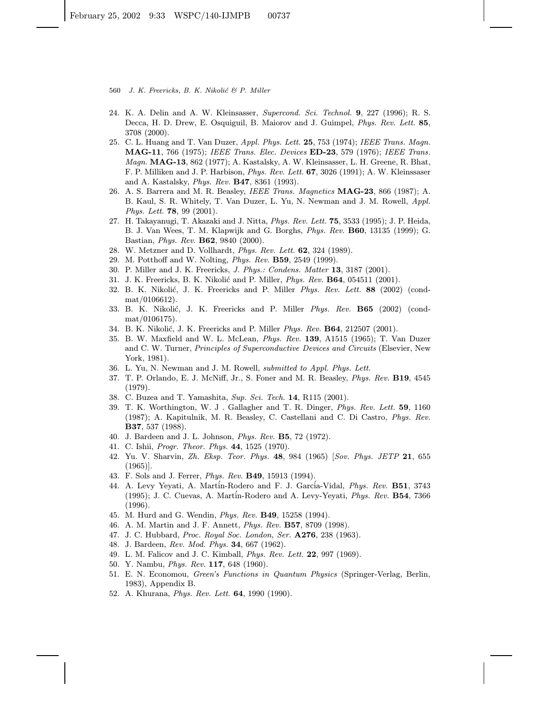- 24. K. A. Delin and A. W. Kleinsasser, Supercond. Sci. Technol. 9, 227 (1996); R. S. Decca, H. D. Drew, E. Osquiguil, B. Maiorov and J. Guimpel, Phys. Rev. Lett. 85, 3708 (2000).
- 25. C. L. Huang and T. Van Duzer, Appl. Phys. Lett. 25, 753 (1974); IEEE Trans. Magn. **MAG-11**, 766 (1975); IEEE Trans. Elec. Devices **ED-23**, 579 (1976); IEEE Trans. Magn. MAG-13, 862 (1977); A. Kastalsky, A. W. Kleinsasser, L. H. Greene, R. Bhat, F. P. Milliken and J. P. Harbison, *Phys. Rev. Lett.* 67, 3026 (1991); A. W. Kleinssaser and A. Kastalsky, Phys. Rev. B47, 8361 (1993).
- 26. A. S. Barrera and M. R. Beasley, IEEE Trans. Magnetics MAG-23, 866 (1987); A. B. Kaul, S. R. Whitely, T. Van Duzer, L. Yu, N. Newman and J. M. Rowell, Appl. Phys. Lett. 78, 99 (2001).
- 27. H. Takayanugi, T. Akazaki and J. Nitta, Phys. Rev. Lett. 75, 3533 (1995); J. P. Heida, B. J. Van Wees, T. M. Klapwijk and G. Borghs, Phys. Rev. B60, 13135 (1999); G. Bastian, Phys. Rev. B62, 9840 (2000).
- 28. W. Metzner and D. Vollhardt, Phys. Rev. Lett. 62, 324 (1989).
- 29. M. Potthoff and W. Nolting, Phys. Rev. B59, 2549 (1999).
- 30. P. Miller and J. K. Freericks, J. Phys.: Condens. Matter 13, 3187 (2001).
- 31. J. K. Freericks, B. K. Nikolić and P. Miller, *Phys. Rev.* **B64**, 054511 (2001).
- 32. B. K. Nikolić, J. K. Freericks and P. Miller *Phys. Rev. Lett.* 88 (2002) (condmat/0106612).
- 33. B. K. Nikolić, J. K. Freericks and P. Miller *Phys. Rev.* **B65** (2002) (condmat/0106175).
- 34. B. K. Nikolić, J. K. Freericks and P. Miller *Phys. Rev.* **B64**, 212507 (2001).
- 35. B. W. Maxfield and W. L. McLean, Phys. Rev. 139, A1515 (1965); T. Van Duzer and C. W. Turner, Principles of Superconductive Devices and Circuits (Elsevier, New York, 1981).
- 36. L. Yu, N. Newman and J. M. Rowell, submitted to Appl. Phys. Lett.
- 37. T. P. Orlando, E. J. McNiff, Jr., S. Foner and M. R. Beasley, Phys. Rev. B19, 4545 (1979).
- 38. C. Buzea and T. Yamashita, Sup. Sci. Tech. 14, R115 (2001).
- 39. T. K. Worthington, W. J . Gallagher and T. R. Dinger, Phys. Rev. Lett. 59, 1160 (1987); A. Kapitulnik, M. R. Beasley, C. Castellani and C. Di Castro, Phys. Rev. B37, 537 (1988).
- 40. J. Bardeen and J. L. Johnson, Phys. Rev. B5, 72 (1972).
- 41. C. Ishii, Progr. Theor. Phys. 44, 1525 (1970).
- 42. Yu. V. Sharvin, Zh. Eksp. Teor. Phys. 48, 984 (1965) [Sov. Phys. JETP 21, 655 (1965)].
- 43. F. Sols and J. Ferrer, Phys. Rev. B49, 15913 (1994).
- 44. A. Levy Yeyati, A. Martin-Rodero and F. J. García-Vidal, *Phys. Rev.* **B51**, 3743 (1995); J. C. Cuevas, A. Martin-Rodero and A. Levy-Yeyati, Phys. Rev. B54, 7366 (1996).
- 45. M. Hurd and G. Wendin, Phys. Rev. B49, 15258 (1994).
- 46. A. M. Martin and J. F. Annett, Phys. Rev. B57, 8709 (1998).
- 47. J. C. Hubbard, Proc. Royal Soc. London, Ser. A276, 238 (1963).
- 48. J. Bardeen, Rev. Mod. Phys. 34, 667 (1962).
- 49. L. M. Falicov and J. C. Kimball, Phys. Rev. Lett. 22, 997 (1969).
- 50. Y. Nambu, Phys. Rev. 117, 648 (1960).
- 51. E. N. Economou, Green's Functions in Quantum Physics (Springer-Verlag, Berlin, 1983), Appendix B.
- 52. A. Khurana, Phys. Rev. Lett. 64, 1990 (1990).

<sup>560</sup> J. K. Freericks, B. K. Nikolić  $\mathcal{B}$  P. Miller